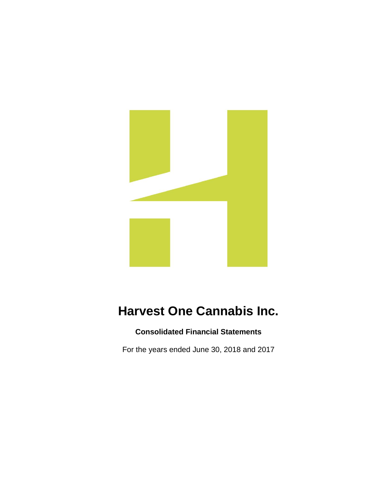

### **Consolidated Financial Statements**

For the years ended June 30, 2018 and 2017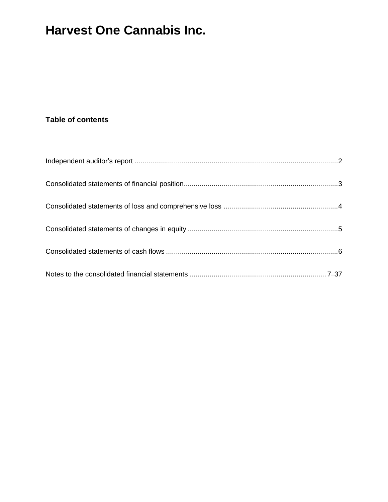### **Table of contents**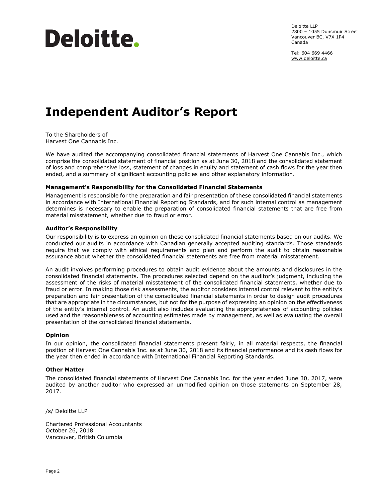# **Deloitte.**

Deloitte LLP 2800 – 1055 Dunsmuir Street Vancouver BC, V7X 1P4 Canada

Tel: 604 669 4466 [www.deloitte.ca](http://www.deloitte.com/)

# **Independent Auditor's Report**

To the Shareholders of Harvest One Cannabis Inc.

We have audited the accompanying consolidated financial statements of Harvest One Cannabis Inc., which comprise the consolidated statement of financial position as at June 30, 2018 and the consolidated statement of loss and comprehensive loss, statement of changes in equity and statement of cash flows for the year then ended, and a summary of significant accounting policies and other explanatory information.

#### **Management's Responsibility for the Consolidated Financial Statements**

Management is responsible for the preparation and fair presentation of these consolidated financial statements in accordance with International Financial Reporting Standards, and for such internal control as management determines is necessary to enable the preparation of consolidated financial statements that are free from material misstatement, whether due to fraud or error.

#### **Auditor's Responsibility**

Our responsibility is to express an opinion on these consolidated financial statements based on our audits. We conducted our audits in accordance with Canadian generally accepted auditing standards. Those standards require that we comply with ethical requirements and plan and perform the audit to obtain reasonable assurance about whether the consolidated financial statements are free from material misstatement.

An audit involves performing procedures to obtain audit evidence about the amounts and disclosures in the consolidated financial statements. The procedures selected depend on the auditor's judgment, including the assessment of the risks of material misstatement of the consolidated financial statements, whether due to fraud or error. In making those risk assessments, the auditor considers internal control relevant to the entity's preparation and fair presentation of the consolidated financial statements in order to design audit procedures that are appropriate in the circumstances, but not for the purpose of expressing an opinion on the effectiveness of the entity's internal control. An audit also includes evaluating the appropriateness of accounting policies used and the reasonableness of accounting estimates made by management, as well as evaluating the overall presentation of the consolidated financial statements.

#### **Opinion**

In our opinion, the consolidated financial statements present fairly, in all material respects, the financial position of Harvest One Cannabis Inc. as at June 30, 2018 and its financial performance and its cash flows for the year then ended in accordance with International Financial Reporting Standards.

#### **Other Matter**

The consolidated financial statements of Harvest One Cannabis Inc. for the year ended June 30, 2017, were audited by another auditor who expressed an unmodified opinion on those statements on September 28, 2017.

/s/ Deloitte LLP

Chartered Professional Accountants October 26, 2018 Vancouver, British Columbia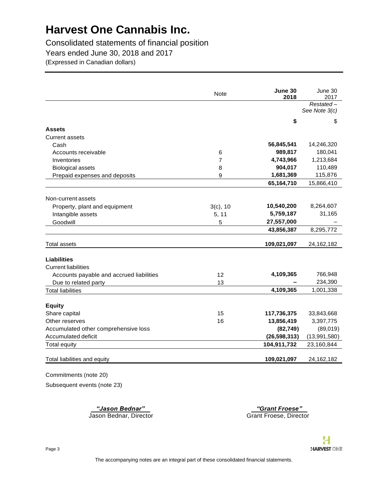Consolidated statements of financial position Years ended June 30, 2018 and 2017 (Expressed in Canadian dollars)

|                                                                  | Note        | June 30        | June 30           |
|------------------------------------------------------------------|-------------|----------------|-------------------|
|                                                                  |             | 2018           | 2017<br>Restated- |
|                                                                  |             |                | See Note 3(c)     |
|                                                                  |             |                | \$                |
| <b>Assets</b>                                                    |             | \$             |                   |
| <b>Current assets</b>                                            |             |                |                   |
| Cash                                                             |             | 56,845,541     | 14,246,320        |
| Accounts receivable                                              | 6           | 989,817        | 180,041           |
| Inventories                                                      | 7           | 4,743,966      | 1,213,684         |
| <b>Biological assets</b>                                         | 8           | 904,017        | 110,489           |
| Prepaid expenses and deposits                                    | 9           | 1,681,369      | 115,876           |
|                                                                  |             | 65,164,710     | 15,866,410        |
|                                                                  |             |                |                   |
| Non-current assets                                               |             |                |                   |
| Property, plant and equipment                                    | $3(c)$ , 10 | 10,540,200     | 8,264,607         |
| Intangible assets                                                | 5, 11       | 5,759,187      | 31,165            |
| Goodwill                                                         | 5           | 27,557,000     |                   |
|                                                                  |             | 43,856,387     | 8,295,772         |
|                                                                  |             |                |                   |
| <b>Total assets</b>                                              |             | 109,021,097    | 24,162,182        |
| <b>Liabilities</b>                                               |             |                |                   |
| <b>Current liabilities</b>                                       |             |                |                   |
|                                                                  | 12          | 4,109,365      | 766,948           |
| Accounts payable and accrued liabilities<br>Due to related party | 13          |                | 234,390           |
| <b>Total liabilities</b>                                         |             | 4,109,365      | 1,001,338         |
|                                                                  |             |                |                   |
| <b>Equity</b>                                                    |             |                |                   |
| Share capital                                                    | 15          | 117,736,375    | 33,843,668        |
| Other reserves                                                   | 16          | 13,856,419     | 3,397,775         |
| Accumulated other comprehensive loss                             |             | (82, 749)      | (89,019)          |
| Accumulated deficit                                              |             | (26, 598, 313) | (13,991,580)      |
| <b>Total equity</b>                                              |             | 104,911,732    | 23,160,844        |
|                                                                  |             |                |                   |
| Total liabilities and equity                                     |             | 109,021,097    | 24, 162, 182      |

Commitments (note 20)

Subsequent events (note 23)

Jason Bednar, Director

 *"Jason Bednar" "Grant Froese"* 

Ч **HARVEST ONE** 

The accompanying notes are an integral part of these consolidated financial statements.

Page 3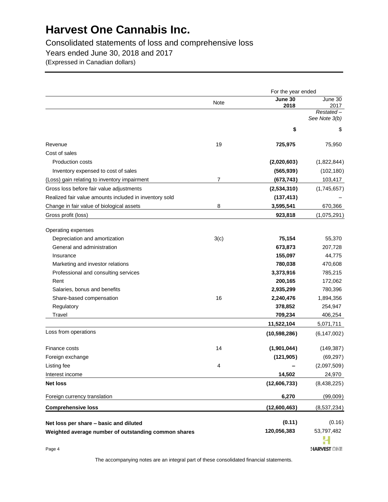Consolidated statements of loss and comprehensive loss Years ended June 30, 2018 and 2017 (Expressed in Canadian dollars)

|                                                                |                | For the year ended |                         |
|----------------------------------------------------------------|----------------|--------------------|-------------------------|
|                                                                | Note           | June 30<br>2018    | June 30<br>2017         |
|                                                                |                |                    | Restated-               |
|                                                                |                |                    | See Note 3(b)           |
|                                                                |                | \$                 | \$                      |
| Revenue                                                        | 19             | 725,975            | 75,950                  |
| Cost of sales                                                  |                |                    |                         |
| <b>Production costs</b>                                        |                | (2,020,603)        | (1,822,844)             |
| Inventory expensed to cost of sales                            |                | (565, 939)         | (102, 180)              |
| (Loss) gain relating to inventory impairment                   | $\overline{7}$ | (673, 743)         | 103,417                 |
| Gross loss before fair value adjustments                       |                | (2,534,310)        | (1,745,657)             |
| Realized fair value amounts included in inventory sold         |                | (137, 413)         |                         |
| Change in fair value of biological assets                      | 8              | 3,595,541          | 670,366                 |
| Gross profit (loss)                                            |                | 923,818            | (1,075,291)             |
| Operating expenses                                             |                |                    |                         |
| Depreciation and amortization                                  | 3(c)           | 75,154             | 55,370                  |
| General and administration                                     |                | 673,873            | 207,728                 |
| Insurance                                                      |                | 155,097            | 44,775                  |
| Marketing and investor relations                               |                | 780,038            | 470,608                 |
| Professional and consulting services                           |                | 3,373,916          | 785,215                 |
| Rent                                                           |                | 200,165            | 172,062                 |
| Salaries, bonus and benefits                                   |                | 2,935,299          | 780,396                 |
| Share-based compensation                                       | 16             | 2,240,476          | 1,894,356               |
| Regulatory                                                     |                | 378,852            | 254,947                 |
| Travel                                                         |                | 709,234            | 406,254                 |
|                                                                |                | 11,522,104         | 5,071,711               |
| Loss from operations                                           |                | (10, 598, 286)     | (6, 147, 002)           |
| Finance costs                                                  | 14             | (1,901,044)        | (149, 387)              |
| Foreign exchange                                               |                | (121, 905)         | (69, 297)               |
| Listing fee                                                    | 4              |                    | (2,097,509)             |
| Interest income                                                |                | 14,502             | 24,970                  |
| <b>Net loss</b>                                                |                | (12,606,733)       | (8,438,225)             |
| Foreign currency translation                                   |                | 6,270              | (99,009)                |
| <b>Comprehensive loss</b>                                      |                | (12,600,463)       | (8,537,234)             |
| Net loss per share - basic and diluted                         |                | (0.11)             | (0.16)                  |
|                                                                |                | 120,056,383        | 53,797,482              |
| Weighted average number of outstanding common shares<br>Page 4 |                |                    | r<br><b>HARVEST ONE</b> |

The accompanying notes are an integral part of these consolidated financial statements.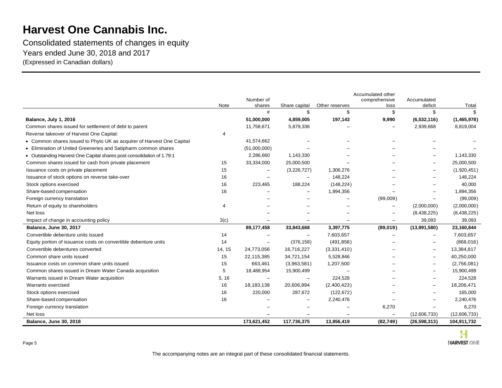Consolidated statements of changes in equity Years ended June 30, 2018 and 2017 (Expressed in Canadian dollars)

|                                                                       |             | Number of    |                     |                      | Accumulated other<br>comprehensive | Accumulated              |              |
|-----------------------------------------------------------------------|-------------|--------------|---------------------|----------------------|------------------------------------|--------------------------|--------------|
|                                                                       | <b>Note</b> | shares<br>#  | Share capital<br>\$ | Other reserves<br>\$ | loss                               | deficit<br>\$            | Total<br>ደ   |
|                                                                       |             |              |                     |                      | \$                                 |                          |              |
| Balance, July 1, 2016                                                 |             | 51,000,000   | 4,859,005           | 197,143              | 9,990                              | (6,532,116)              | (1,465,978)  |
| Common shares issued for settlement of debt to parent                 |             | 11,758,671   | 5,879,336           |                      |                                    | 2,939,668                | 8,819,004    |
| Reverse takeover of Harvest One Capital:                              |             |              |                     |                      |                                    |                          |              |
| • Common shares issued to Phyto UK as acquirer of Harvest One Capital |             | 41,574,662   |                     |                      |                                    |                          |              |
| • Elimination of United Greeneries and Satipharm common shares        |             | (51,000,000) |                     |                      |                                    |                          |              |
| • Outstanding Harvest One Capital shares post consolidation of 1.79:1 |             | 2,286,660    | 1,143,330           |                      |                                    |                          | 1,143,330    |
| Common shares issued for cash from private placement                  | 15          | 33,334,000   | 25,000,500          |                      |                                    |                          | 25,000,500   |
| Issuance costs on private placement                                   | 15          |              | (3,226,727)         | 1,306,276            |                                    |                          | (1,920,451)  |
| Issuance of stock options on reverse take-over                        | 16          |              |                     | 148,224              |                                    |                          | 148,224      |
| Stock options exercised                                               | 16          | 223,465      | 188,224             | (148, 224)           |                                    |                          | 40,000       |
| Share-based compensation                                              | 16          |              |                     | 1,894,356            |                                    |                          | 1,894,356    |
| Foreign currency translation                                          |             |              |                     |                      | (99,009)                           |                          | (99,009)     |
| Return of equity to shareholders                                      | 4           |              |                     |                      |                                    | (2,000,000)              | (2,000,000)  |
| Net loss                                                              |             |              |                     |                      |                                    | (8,438,225)              | (8,438,225)  |
| Impact of change in accounting policy                                 | 3(c)        |              |                     |                      |                                    | 39,093                   | 39,093       |
| <b>Balance, June 30, 2017</b>                                         |             | 89,177,458   | 33,843,668          | 3,397,775            | (89,019)                           | (13,991,580)             | 23,160,844   |
| Convertible debenture units issued                                    | 14          |              |                     | 7,603,657            |                                    |                          | 7,603,657    |
| Equity portion of issuance costs on convertible debenture units       | 14          |              | (376, 158)          | (491, 858)           |                                    |                          | (868, 016)   |
| Convertible debentures converted                                      | 14, 15      | 24,773,056   | 16,716,227          | (3,331,410)          |                                    | $\overline{\phantom{0}}$ | 13,384,817   |
| Common share units issued                                             | 15          | 22,115,385   | 34,721,154          | 5,528,846            |                                    | $\overline{\phantom{0}}$ | 40,250,000   |
| Issuance costs on common share units issued                           | 15          | 663,461      | (3,963,581)         | 1,207,500            |                                    |                          | (2,756,081)  |
| Common shares issued in Dream Water Canada acquisition                | 5           | 18,488,954   | 15,900,499          |                      |                                    |                          | 15,900,499   |
| Warrants issued in Dream Water acquisition                            | 5, 16       |              | $\qquad \qquad -$   | 224,528              |                                    |                          | 224,528      |
| Warrants exercised                                                    | 16          | 18,183,138   | 20,606,894          | (2,400,423)          |                                    |                          | 18,206,471   |
| Stock options exercised                                               | 16          | 220,000      | 287,672             | (122, 672)           |                                    |                          | 165,000      |
| Share-based compensation                                              | 16          |              |                     | 2,240,476            |                                    |                          | 2,240,476    |
| Foreign currency translation                                          |             |              |                     |                      | 6,270                              |                          | 6,270        |
| Net loss                                                              |             |              |                     |                      |                                    | (12,606,733)             | (12,606,733) |
| Balance, June 30, 2018                                                |             | 173,621,452  | 117,736,375         | 13,856,419           | (82, 749)                          | (26, 598, 313)           | 104,911,732  |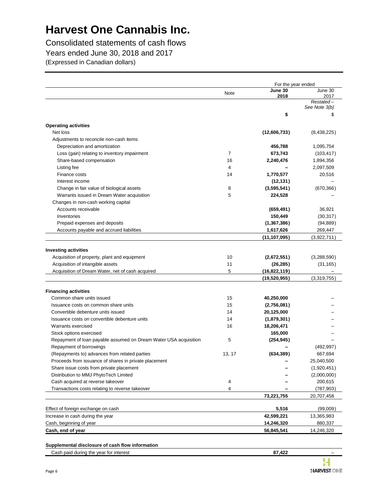Consolidated statements of cash flows Years ended June 30, 2018 and 2017 (Expressed in Canadian dollars)

|                                                                  | For the year ended |                 |                     |
|------------------------------------------------------------------|--------------------|-----------------|---------------------|
|                                                                  | Note               | June 30<br>2018 | June 30<br>2017     |
|                                                                  |                    |                 | Restated-           |
|                                                                  |                    | \$              | See Note 3(b)<br>\$ |
| <b>Operating activities</b>                                      |                    |                 |                     |
| Net loss                                                         |                    | (12,606,733)    | (8,438,225)         |
| Adjustments to reconcile non-cash items                          |                    |                 |                     |
| Depreciation and amortization                                    |                    | 456,788         | 1,095,754           |
| Loss (gain) relating to inventory impairment                     | 7                  | 673,743         | (103, 417)          |
| Share-based compensation                                         | 16                 | 2,240,476       | 1,894,356           |
| Listing fee                                                      | 4                  |                 | 2,097,509           |
| Finance costs                                                    | 14                 | 1,770,577       | 20,516              |
| Interest income                                                  |                    | (12, 131)       |                     |
| Change in fair value of biological assets                        | 8                  | (3,595,541)     | (670, 366)          |
| Warrants issued in Dream Water acquisition                       | 5                  | 224,528         |                     |
| Changes in non-cash working capital                              |                    |                 |                     |
| Accounts receivable                                              |                    | (659, 491)      | 36,921              |
| Inventories                                                      |                    | 150,449         | (30, 317)           |
| Prepaid expenses and deposits                                    |                    | (1, 367, 386)   | (94, 889)           |
| Accounts payable and accrued liabilities                         |                    | 1,617,626       | 269,447             |
|                                                                  |                    | (11,107,095)    | (3,922,711)         |
|                                                                  |                    |                 |                     |
| <b>Investing activities</b>                                      |                    |                 |                     |
| Acquisition of property, plant and equipment                     | 10                 | (2,672,551)     | (3,288,590)         |
| Acquisition of intangible assets                                 | 11                 | (26, 285)       | (31, 165)           |
| Acquisition of Dream Water, net of cash acquired                 | 5                  | (16, 822, 119)  |                     |
|                                                                  |                    | (19,520,955)    | (3,319,755)         |
| <b>Financing activities</b>                                      |                    |                 |                     |
| Common share units issued                                        | 15                 | 40,250,000      |                     |
| Issuance costs on common share units                             | 15                 | (2,756,081)     |                     |
| Convertible debenture units issued                               | 14                 | 20,125,000      |                     |
| Issuance costs on convertible debenture units                    | 14                 | (1,879,301)     |                     |
| Warrants exercised                                               | 16                 | 18,206,471      |                     |
| Stock options exercised                                          |                    | 165,000         |                     |
| Repayment of loan payable assumed on Dream Water USA acquisition | 5                  | (254, 945)      |                     |
| Repayment of borrowings                                          |                    |                 | (492, 997)          |
| (Repayments to) advances from related parties                    | 13, 17             | (634, 389)      | 667,694             |
| Proceeds from issuance of shares in private placement            |                    |                 | 25,040,500          |
| Share issue costs from private placement                         |                    |                 | (1,920,451)         |
| Distribution to MMJ PhytoTech Limited                            |                    |                 | (2,000,000)         |
| Cash acquired at reverse takeover                                | 4                  |                 | 200,615             |
| Transactions costs relating to reverse takeover                  | 4                  |                 | (787, 903)          |
|                                                                  |                    | 73,221,755      | 20,707,458          |
|                                                                  |                    |                 |                     |
| Effect of foreign exchange on cash                               |                    | 5,516           | (99,009)            |
| Increase in cash during the year                                 |                    | 42,599,221      | 13,365,983          |
| Cash, beginning of year                                          |                    | 14,246,320      | 880,337             |
| Cash, end of year                                                |                    | 56,845,541      | 14,246,320          |

| Supplemental disclosure of cash flow information |                |   |
|--------------------------------------------------|----------------|---|
| Cash paid<br>d during the vear for interest      | $\overline{a}$ | - |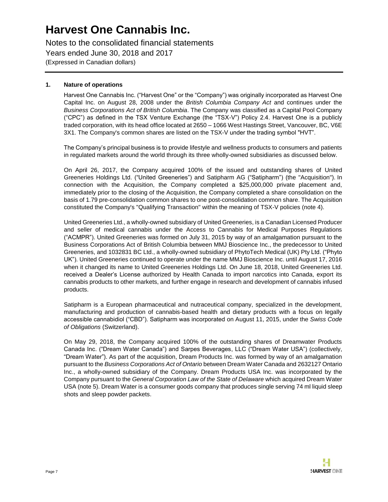Notes to the consolidated financial statements Years ended June 30, 2018 and 2017 (Expressed in Canadian dollars)

#### **1. Nature of operations**

Harvest One Cannabis Inc. ("Harvest One" or the "Company") was originally incorporated as Harvest One Capital Inc. on August 28, 2008 under the *British Columbia Company Act* and continues under the *Business Corporations Act of British Columbia*. The Company was classified as a Capital Pool Company ("CPC") as defined in the TSX Venture Exchange (the "TSX-V") Policy 2.4. Harvest One is a publicly traded corporation, with its head office located at 2650 – 1066 West Hastings Street, Vancouver, BC, V6E 3X1. The Company's common shares are listed on the TSX-V under the trading symbol "HVT".

The Company's principal business is to provide lifestyle and wellness products to consumers and patients in regulated markets around the world through its three wholly-owned subsidiaries as discussed below.

On April 26, 2017, the Company acquired 100% of the issued and outstanding shares of United Greeneries Holdings Ltd. ("United Greeneries") and Satipharm AG ("Satipharm") (the "Acquisition"). In connection with the Acquisition, the Company completed a \$25,000,000 private placement and, immediately prior to the closing of the Acquisition, the Company completed a share consolidation on the basis of 1.79 pre-consolidation common shares to one post-consolidation common share. The Acquisition constituted the Company's "Qualifying Transaction" within the meaning of TSX-V policies (note 4).

United Greeneries Ltd., a wholly-owned subsidiary of United Greeneries, is a Canadian Licensed Producer and seller of medical cannabis under the Access to Cannabis for Medical Purposes Regulations ("ACMPR"). United Greeneries was formed on July 31, 2015 by way of an amalgamation pursuant to the Business Corporations Act of British Columbia between MMJ Bioscience Inc., the predecessor to United Greeneries, and 1032831 BC Ltd., a wholly-owned subsidiary of PhytoTech Medical (UK) Pty Ltd. ("Phyto UK"). United Greeneries continued to operate under the name MMJ Bioscience Inc. until August 17, 2016 when it changed its name to United Greeneries Holdings Ltd. On June 18, 2018, United Greeneries Ltd. received a Dealer's License authorized by Health Canada to import narcotics into Canada, export its cannabis products to other markets, and further engage in research and development of cannabis infused products.

Satipharm is a European pharmaceutical and nutraceutical company, specialized in the development, manufacturing and production of cannabis-based health and dietary products with a focus on legally accessible cannabidiol ("CBD"). Satipharm was incorporated on August 11, 2015, under the *Swiss Code of Obligations* (Switzerland).

On May 29, 2018, the Company acquired 100% of the outstanding shares of Dreamwater Products Canada Inc. ("Dream Water Canada") and Sarpes Beverages, LLC ("Dream Water USA") (collectively, "Dream Water"). As part of the acquisition, Dream Products Inc. was formed by way of an amalgamation pursuant to the *Business Corporations Act of Ontario* between Dream Water Canada and 2632127 Ontario Inc., a wholly-owned subsidiary of the Company. Dream Products USA Inc. was incorporated by the Company pursuant to the *General Corporation Law of the State of Delaware* which acquired Dream Water USA (note 5). Dream Water is a consumer goods company that produces single serving 74 ml liquid sleep shots and sleep powder packets.

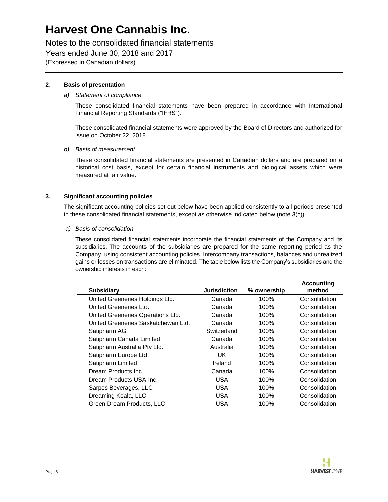Notes to the consolidated financial statements Years ended June 30, 2018 and 2017 (Expressed in Canadian dollars)

#### **2. Basis of presentation**

#### *a) Statement of compliance*

These consolidated financial statements have been prepared in accordance with International Financial Reporting Standards ("IFRS").

These consolidated financial statements were approved by the Board of Directors and authorized for issue on October 22, 2018.

#### *b) Basis of measurement*

These consolidated financial statements are presented in Canadian dollars and are prepared on a historical cost basis, except for certain financial instruments and biological assets which were measured at fair value.

#### **3. Significant accounting policies**

The significant accounting policies set out below have been applied consistently to all periods presented in these consolidated financial statements, except as otherwise indicated below (note 3(c)).

#### *a) Basis of consolidation*

These consolidated financial statements incorporate the financial statements of the Company and its subsidiaries. The accounts of the subsidiaries are prepared for the same reporting period as the Company, using consistent accounting policies. Intercompany transactions, balances and unrealized gains or losses on transactions are eliminated. The table below lists the Company's subsidiaries and the ownership interests in each:

| <b>Subsidiary</b>                   | <b>Jurisdiction</b> | % ownership | <b>Accounting</b><br>method |
|-------------------------------------|---------------------|-------------|-----------------------------|
| United Greeneries Holdings Ltd.     | Canada              | 100%        | Consolidation               |
| United Greeneries Ltd.              | Canada              | 100%        | Consolidation               |
| United Greeneries Operations Ltd.   | Canada              | 100%        | Consolidation               |
| United Greeneries Saskatchewan Ltd. | Canada              | 100%        | Consolidation               |
| Satipharm AG                        | Switzerland         | 100%        | Consolidation               |
| Satipharm Canada Limited            | Canada              | 100%        | Consolidation               |
| Satipharm Australia Pty Ltd.        | Australia           | 100%        | Consolidation               |
| Satipharm Europe Ltd.               | UK.                 | 100%        | Consolidation               |
| Satipharm Limited                   | Ireland             | 100%        | Consolidation               |
| Dream Products Inc.                 | Canada              | 100%        | Consolidation               |
| Dream Products USA Inc.             | <b>USA</b>          | 100%        | Consolidation               |
| Sarpes Beverages, LLC               | USA                 | 100%        | Consolidation               |
| Dreaming Koala, LLC                 | <b>USA</b>          | 100%        | Consolidation               |
| Green Dream Products, LLC           | <b>USA</b>          | 100%        | Consolidation               |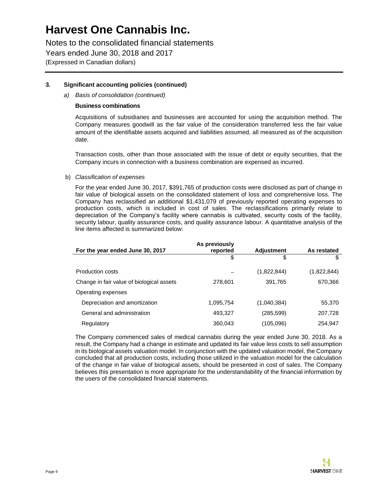Notes to the consolidated financial statements Years ended June 30, 2018 and 2017 (Expressed in Canadian dollars)

### **3. Significant accounting policies (continued)**

*a) Basis of consolidation (continued)*

#### **Business combinations**

Acquisitions of subsidiaries and businesses are accounted for using the acquisition method. The Company measures goodwill as the fair value of the consideration transferred less the fair value amount of the identifiable assets acquired and liabilities assumed, all measured as of the acquisition date.

Transaction costs, other than those associated with the issue of debt or equity securities, that the Company incurs in connection with a business combination are expensed as incurred.

#### b) *Classification of expenses*

For the year ended June 30, 2017, \$391,765 of production costs were disclosed as part of change in fair value of biological assets on the consolidated statement of loss and comprehensive loss. The Company has reclassified an additional \$1,431,079 of previously reported operating expenses to production costs, which is included in cost of sales. The reclassifications primarily relate to depreciation of the Company's facility where cannabis is cultivated, security costs of the facility, security labour, quality assurance costs, and quality assurance labour. A quantitative analysis of the line items affected is summarized below:

|                                           | As previously |                   |             |
|-------------------------------------------|---------------|-------------------|-------------|
| For the year ended June 30, 2017          | reported      | <b>Adjustment</b> | As restated |
|                                           | \$            | \$                | \$          |
| Production costs                          |               | (1,822,844)       | (1,822,844) |
| Change in fair value of biological assets | 278.601       | 391,765           | 670,366     |
| Operating expenses                        |               |                   |             |
| Depreciation and amortization             | 1,095,754     | (1,040,384)       | 55,370      |
| General and administration                | 493,327       | (285, 599)        | 207,728     |
| Regulatory                                | 360,043       | (105,096)         | 254,947     |
|                                           |               |                   |             |

The Company commenced sales of medical cannabis during the year ended June 30, 2018. As a result, the Company had a change in estimate and updated its fair value less costs to sell assumption in its biological assets valuation model. In conjunction with the updated valuation model, the Company concluded that all production costs, including those utilized in the valuation model for the calculation of the change in fair value of biological assets, should be presented in cost of sales. The Company believes this presentation is more appropriate for the understandability of the financial information by the users of the consolidated financial statements.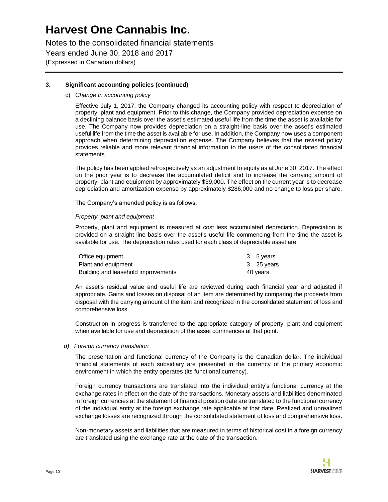Notes to the consolidated financial statements Years ended June 30, 2018 and 2017 (Expressed in Canadian dollars)

#### **3. Significant accounting policies (continued)**

#### c) *Change in accounting policy*

Effective July 1, 2017, the Company changed its accounting policy with respect to depreciation of property, plant and equipment. Prior to this change, the Company provided depreciation expense on a declining balance basis over the asset's estimated useful life from the time the asset is available for use. The Company now provides depreciation on a straight-line basis over the asset's estimated useful life from the time the asset is available for use. In addition, the Company now uses a component approach when determining depreciation expense. The Company believes that the revised policy provides reliable and more relevant financial information to the users of the consolidated financial statements.

The policy has been applied retrospectively as an adjustment to equity as at June 30, 2017. The effect on the prior year is to decrease the accumulated deficit and to increase the carrying amount of property, plant and equipment by approximately \$39,000. The effect on the current year is to decrease depreciation and amortization expense by approximately \$286,000 and no change to loss per share.

The Company's amended policy is as follows:

#### *Property, plant and equipment*

Property, plant and equipment is measured at cost less accumulated depreciation. Depreciation is provided on a straight line basis over the asset's useful life commencing from the time the asset is available for use. The depreciation rates used for each class of depreciable asset are:

| Office equipment                    | $3 - 5$ years  |
|-------------------------------------|----------------|
| Plant and equipment                 | $3 - 25$ vears |
| Building and leasehold improvements | 40 vears       |

An asset's residual value and useful life are reviewed during each financial year and adjusted if appropriate. Gains and losses on disposal of an item are determined by comparing the proceeds from disposal with the carrying amount of the item and recognized in the consolidated statement of loss and comprehensive loss.

Construction in progress is transferred to the appropriate category of property, plant and equipment when available for use and depreciation of the asset commences at that point.

#### *d) Foreign currency translation*

The presentation and functional currency of the Company is the Canadian dollar. The individual financial statements of each subsidiary are presented in the currency of the primary economic environment in which the entity operates (its functional currency).

Foreign currency transactions are translated into the individual entity's functional currency at the exchange rates in effect on the date of the transactions. Monetary assets and liabilities denominated in foreign currencies at the statement of financial position date are translated to the functional currency of the individual entity at the foreign exchange rate applicable at that date. Realized and unrealized exchange losses are recognized through the consolidated statement of loss and comprehensive loss.

Non-monetary assets and liabilities that are measured in terms of historical cost in a foreign currency are translated using the exchange rate at the date of the transaction.

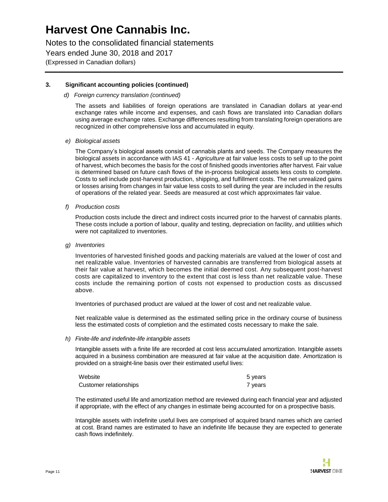Notes to the consolidated financial statements Years ended June 30, 2018 and 2017 (Expressed in Canadian dollars)

#### **3. Significant accounting policies (continued)**

#### *d) Foreign currency translation (continued)*

The assets and liabilities of foreign operations are translated in Canadian dollars at year-end exchange rates while income and expenses, and cash flows are translated into Canadian dollars using average exchange rates. Exchange differences resulting from translating foreign operations are recognized in other comprehensive loss and accumulated in equity.

#### *e) Biological assets*

The Company's biological assets consist of cannabis plants and seeds. The Company measures the biological assets in accordance with IAS 41 - *Agriculture* at fair value less costs to sell up to the point of harvest, which becomes the basis for the cost of finished goods inventories after harvest. Fair value is determined based on future cash flows of the in-process biological assets less costs to complete. Costs to sell include post-harvest production, shipping, and fulfillment costs. The net unrealized gains or losses arising from changes in fair value less costs to sell during the year are included in the results of operations of the related year. Seeds are measured at cost which approximates fair value.

#### *f) Production costs*

Production costs include the direct and indirect costs incurred prior to the harvest of cannabis plants. These costs include a portion of labour, quality and testing, depreciation on facility, and utilities which were not capitalized to inventories.

#### *g) Inventories*

Inventories of harvested finished goods and packing materials are valued at the lower of cost and net realizable value. Inventories of harvested cannabis are transferred from biological assets at their fair value at harvest, which becomes the initial deemed cost. Any subsequent post-harvest costs are capitalized to inventory to the extent that cost is less than net realizable value. These costs include the remaining portion of costs not expensed to production costs as discussed above.

Inventories of purchased product are valued at the lower of cost and net realizable value.

Net realizable value is determined as the estimated selling price in the ordinary course of business less the estimated costs of completion and the estimated costs necessary to make the sale.

#### *h) Finite-life and indefinite-life intangible assets*

Intangible assets with a finite life are recorded at cost less accumulated amortization. Intangible assets acquired in a business combination are measured at fair value at the acquisition date. Amortization is provided on a straight-line basis over their estimated useful lives:

| Website                | 5 years |
|------------------------|---------|
| Customer relationships | 7 years |

The estimated useful life and amortization method are reviewed during each financial year and adjusted if appropriate, with the effect of any changes in estimate being accounted for on a prospective basis.

Intangible assets with indefinite useful lives are comprised of acquired brand names which are carried at cost. Brand names are estimated to have an indefinite life because they are expected to generate cash flows indefinitely.

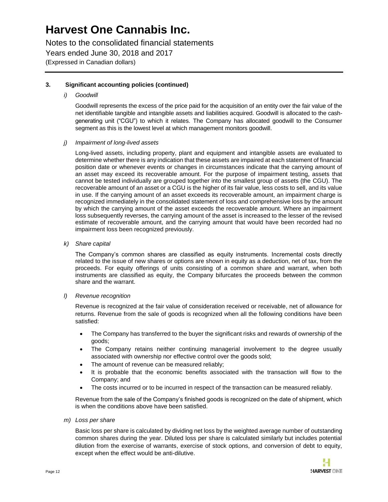Notes to the consolidated financial statements Years ended June 30, 2018 and 2017 (Expressed in Canadian dollars)

### **3. Significant accounting policies (continued)**

#### *i) Goodwill*

Goodwill represents the excess of the price paid for the acquisition of an entity over the fair value of the net identifiable tangible and intangible assets and liabilities acquired. Goodwill is allocated to the cashgenerating unit ("CGU") to which it relates. The Company has allocated goodwill to the Consumer segment as this is the lowest level at which management monitors goodwill.

#### *j) Impairment of long-lived assets*

Long-lived assets, including property, plant and equipment and intangible assets are evaluated to determine whether there is any indication that these assets are impaired at each statement of financial position date or whenever events or changes in circumstances indicate that the carrying amount of an asset may exceed its recoverable amount. For the purpose of impairment testing, assets that cannot be tested individually are grouped together into the smallest group of assets (the CGU). The recoverable amount of an asset or a CGU is the higher of its fair value, less costs to sell, and its value in use. If the carrying amount of an asset exceeds its recoverable amount, an impairment charge is recognized immediately in the consolidated statement of loss and comprehensive loss by the amount by which the carrying amount of the asset exceeds the recoverable amount. Where an impairment loss subsequently reverses, the carrying amount of the asset is increased to the lesser of the revised estimate of recoverable amount, and the carrying amount that would have been recorded had no impairment loss been recognized previously.

*k) Share capital*

The Company's common shares are classified as equity instruments. Incremental costs directly related to the issue of new shares or options are shown in equity as a deduction, net of tax, from the proceeds. For equity offerings of units consisting of a common share and warrant, when both instruments are classified as equity, the Company bifurcates the proceeds between the common share and the warrant.

#### *l) Revenue recognition*

Revenue is recognized at the fair value of consideration received or receivable, net of allowance for returns. Revenue from the sale of goods is recognized when all the following conditions have been satisfied:

- The Company has transferred to the buyer the significant risks and rewards of ownership of the goods;
- The Company retains neither continuing managerial involvement to the degree usually associated with ownership nor effective control over the goods sold;
- The amount of revenue can be measured reliably;
- It is probable that the economic benefits associated with the transaction will flow to the Company; and
- The costs incurred or to be incurred in respect of the transaction can be measured reliably.

Revenue from the sale of the Company's finished goods is recognized on the date of shipment, which is when the conditions above have been satisfied.

*m) Loss per share*

Basic loss per share is calculated by dividing net loss by the weighted average number of outstanding common shares during the year. Diluted loss per share is calculated similarly but includes potential dilution from the exercise of warrants, exercise of stock options, and conversion of debt to equity, except when the effect would be anti-dilutive.

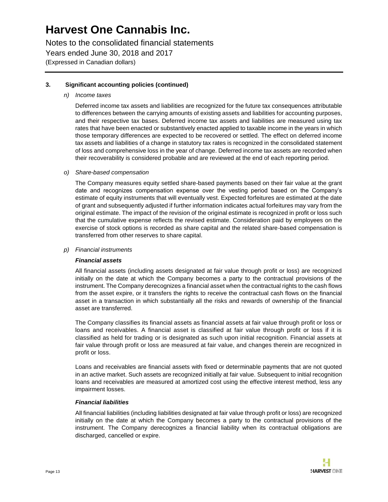Notes to the consolidated financial statements Years ended June 30, 2018 and 2017 (Expressed in Canadian dollars)

### **3. Significant accounting policies (continued)**

#### *n) Income taxes*

Deferred income tax assets and liabilities are recognized for the future tax consequences attributable to differences between the carrying amounts of existing assets and liabilities for accounting purposes, and their respective tax bases. Deferred income tax assets and liabilities are measured using tax rates that have been enacted or substantively enacted applied to taxable income in the years in which those temporary differences are expected to be recovered or settled. The effect on deferred income tax assets and liabilities of a change in statutory tax rates is recognized in the consolidated statement of loss and comprehensive loss in the year of change. Deferred income tax assets are recorded when their recoverability is considered probable and are reviewed at the end of each reporting period.

#### *o) Share-based compensation*

The Company measures equity settled share-based payments based on their fair value at the grant date and recognizes compensation expense over the vesting period based on the Company's estimate of equity instruments that will eventually vest. Expected forfeitures are estimated at the date of grant and subsequently adjusted if further information indicates actual forfeitures may vary from the original estimate. The impact of the revision of the original estimate is recognized in profit or loss such that the cumulative expense reflects the revised estimate. Consideration paid by employees on the exercise of stock options is recorded as share capital and the related share-based compensation is transferred from other reserves to share capital.

#### *p) Financial instruments*

#### *Financial assets*

All financial assets (including assets designated at fair value through profit or loss) are recognized initially on the date at which the Company becomes a party to the contractual provisions of the instrument. The Company derecognizes a financial asset when the contractual rights to the cash flows from the asset expire, or it transfers the rights to receive the contractual cash flows on the financial asset in a transaction in which substantially all the risks and rewards of ownership of the financial asset are transferred.

The Company classifies its financial assets as financial assets at fair value through profit or loss or loans and receivables. A financial asset is classified at fair value through profit or loss if it is classified as held for trading or is designated as such upon initial recognition. Financial assets at fair value through profit or loss are measured at fair value, and changes therein are recognized in profit or loss.

Loans and receivables are financial assets with fixed or determinable payments that are not quoted in an active market. Such assets are recognized initially at fair value. Subsequent to initial recognition loans and receivables are measured at amortized cost using the effective interest method, less any impairment losses.

#### *Financial liabilities*

All financial liabilities (including liabilities designated at fair value through profit or loss) are recognized initially on the date at which the Company becomes a party to the contractual provisions of the instrument. The Company derecognizes a financial liability when its contractual obligations are discharged, cancelled or expire.

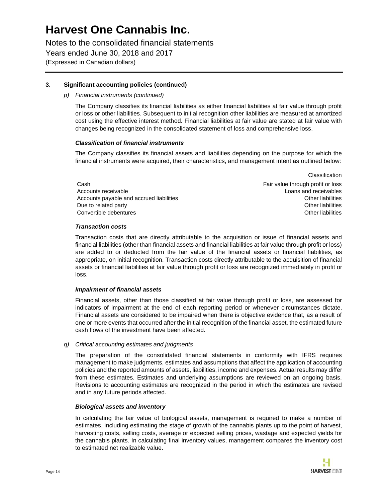Notes to the consolidated financial statements Years ended June 30, 2018 and 2017 (Expressed in Canadian dollars)

### **3. Significant accounting policies (continued)**

#### *p) Financial instruments (continued)*

The Company classifies its financial liabilities as either financial liabilities at fair value through profit or loss or other liabilities. Subsequent to initial recognition other liabilities are measured at amortized cost using the effective interest method. Financial liabilities at fair value are stated at fair value with changes being recognized in the consolidated statement of loss and comprehensive loss.

#### *Classification of financial instruments*

The Company classifies its financial assets and liabilities depending on the purpose for which the financial instruments were acquired, their characteristics, and management intent as outlined below:

|                                          | Classification                    |
|------------------------------------------|-----------------------------------|
| Cash                                     | Fair value through profit or loss |
| Accounts receivable                      | Loans and receivables             |
| Accounts payable and accrued liabilities | Other liabilities                 |
| Due to related party                     | Other liabilities                 |
| Convertible debentures                   | Other liabilities                 |

#### *Transaction costs*

Transaction costs that are directly attributable to the acquisition or issue of financial assets and financial liabilities (other than financial assets and financial liabilities at fair value through profit or loss) are added to or deducted from the fair value of the financial assets or financial liabilities, as appropriate, on initial recognition. Transaction costs directly attributable to the acquisition of financial assets or financial liabilities at fair value through profit or loss are recognized immediately in profit or loss.

#### *Impairment of financial assets*

Financial assets, other than those classified at fair value through profit or loss, are assessed for indicators of impairment at the end of each reporting period or whenever circumstances dictate. Financial assets are considered to be impaired when there is objective evidence that, as a result of one or more events that occurred after the initial recognition of the financial asset, the estimated future cash flows of the investment have been affected.

#### *q) Critical accounting estimates and judgments*

The preparation of the consolidated financial statements in conformity with IFRS requires management to make judgments, estimates and assumptions that affect the application of accounting policies and the reported amounts of assets, liabilities, income and expenses. Actual results may differ from these estimates. Estimates and underlying assumptions are reviewed on an ongoing basis. Revisions to accounting estimates are recognized in the period in which the estimates are revised and in any future periods affected.

#### *Biological assets and inventory*

In calculating the fair value of biological assets, management is required to make a number of estimates, including estimating the stage of growth of the cannabis plants up to the point of harvest, harvesting costs, selling costs, average or expected selling prices, wastage and expected yields for the cannabis plants. In calculating final inventory values, management compares the inventory cost to estimated net realizable value.



Classification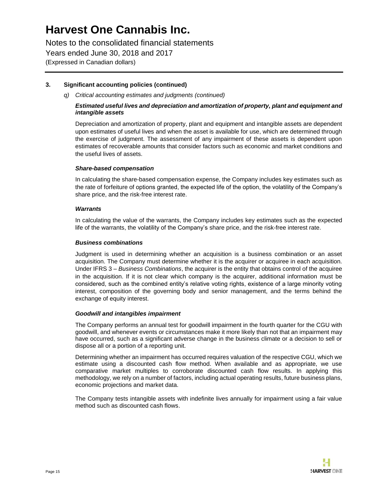Notes to the consolidated financial statements Years ended June 30, 2018 and 2017 (Expressed in Canadian dollars)

### **3. Significant accounting policies (continued)**

#### *q) Critical accounting estimates and judgments (continued)*

#### *Estimated useful lives and depreciation and amortization of property, plant and equipment and intangible assets*

Depreciation and amortization of property, plant and equipment and intangible assets are dependent upon estimates of useful lives and when the asset is available for use, which are determined through the exercise of judgment. The assessment of any impairment of these assets is dependent upon estimates of recoverable amounts that consider factors such as economic and market conditions and the useful lives of assets.

#### *Share-based compensation*

In calculating the share-based compensation expense, the Company includes key estimates such as the rate of forfeiture of options granted, the expected life of the option, the volatility of the Company's share price, and the risk-free interest rate.

#### *Warrants*

In calculating the value of the warrants, the Company includes key estimates such as the expected life of the warrants, the volatility of the Company's share price, and the risk-free interest rate.

#### *Business combinations*

Judgment is used in determining whether an acquisition is a business combination or an asset acquisition. The Company must determine whether it is the acquirer or acquiree in each acquisition. Under IFRS 3 – *Business Combinations*, the acquirer is the entity that obtains control of the acquiree in the acquisition. If it is not clear which company is the acquirer, additional information must be considered, such as the combined entity's relative voting rights, existence of a large minority voting interest, composition of the governing body and senior management, and the terms behind the exchange of equity interest.

#### *Goodwill and intangibles impairment*

The Company performs an annual test for goodwill impairment in the fourth quarter for the CGU with goodwill, and whenever events or circumstances make it more likely than not that an impairment may have occurred, such as a significant adverse change in the business climate or a decision to sell or dispose all or a portion of a reporting unit.

Determining whether an impairment has occurred requires valuation of the respective CGU, which we estimate using a discounted cash flow method. When available and as appropriate, we use comparative market multiples to corroborate discounted cash flow results. In applying this methodology, we rely on a number of factors, including actual operating results, future business plans, economic projections and market data.

The Company tests intangible assets with indefinite lives annually for impairment using a fair value method such as discounted cash flows.

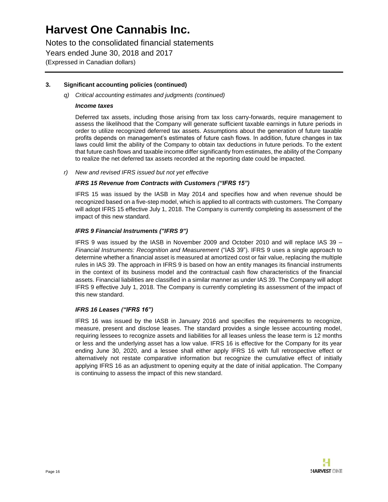Notes to the consolidated financial statements Years ended June 30, 2018 and 2017 (Expressed in Canadian dollars)

### **3. Significant accounting policies (continued)**

#### *q) Critical accounting estimates and judgments (continued)*

#### *Income taxes*

Deferred tax assets, including those arising from tax loss carry-forwards, require management to assess the likelihood that the Company will generate sufficient taxable earnings in future periods in order to utilize recognized deferred tax assets. Assumptions about the generation of future taxable profits depends on management's estimates of future cash flows. In addition, future changes in tax laws could limit the ability of the Company to obtain tax deductions in future periods. To the extent that future cash flows and taxable income differ significantly from estimates, the ability of the Company to realize the net deferred tax assets recorded at the reporting date could be impacted.

*r) New and revised IFRS issued but not yet effective*

#### *IFRS 15 Revenue from Contracts with Customers ("IFRS 15")*

IFRS 15 was issued by the IASB in May 2014 and specifies how and when revenue should be recognized based on a five-step model, which is applied to all contracts with customers. The Company will adopt IFRS 15 effective July 1, 2018. The Company is currently completing its assessment of the impact of this new standard.

#### *IFRS 9 Financial Instruments ("IFRS 9")*

IFRS 9 was issued by the IASB in November 2009 and October 2010 and will replace IAS 39 – *Financial Instruments: Recognition and Measurement* ("IAS 39"). IFRS 9 uses a single approach to determine whether a financial asset is measured at amortized cost or fair value, replacing the multiple rules in IAS 39. The approach in IFRS 9 is based on how an entity manages its financial instruments in the context of its business model and the contractual cash flow characteristics of the financial assets. Financial liabilities are classified in a similar manner as under IAS 39. The Company will adopt IFRS 9 effective July 1, 2018. The Company is currently completing its assessment of the impact of this new standard.

#### *IFRS 16 Leases ("IFRS 16")*

IFRS 16 was issued by the IASB in January 2016 and specifies the requirements to recognize, measure, present and disclose leases. The standard provides a single lessee accounting model, requiring lessees to recognize assets and liabilities for all leases unless the lease term is 12 months or less and the underlying asset has a low value. IFRS 16 is effective for the Company for its year ending June 30, 2020, and a lessee shall either apply IFRS 16 with full retrospective effect or alternatively not restate comparative information but recognize the cumulative effect of initially applying IFRS 16 as an adjustment to opening equity at the date of initial application. The Company is continuing to assess the impact of this new standard.

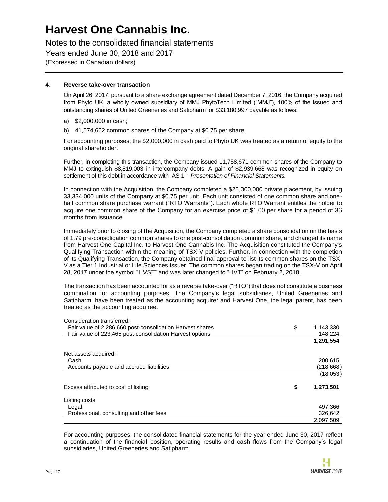Notes to the consolidated financial statements Years ended June 30, 2018 and 2017 (Expressed in Canadian dollars)

#### **4. Reverse take-over transaction**

On April 26, 2017, pursuant to a share exchange agreement dated December 7, 2016, the Company acquired from Phyto UK, a wholly owned subsidiary of MMJ PhytoTech Limited ("MMJ"), 100% of the issued and outstanding shares of United Greeneries and Satipharm for \$33,180,997 payable as follows:

- a) \$2,000,000 in cash;
- b) 41,574,662 common shares of the Company at \$0.75 per share.

For accounting purposes, the \$2,000,000 in cash paid to Phyto UK was treated as a return of equity to the original shareholder.

Further, in completing this transaction, the Company issued 11,758,671 common shares of the Company to MMJ to extinguish \$8,819,003 in intercompany debts. A gain of \$2,939,668 was recognized in equity on settlement of this debt in accordance with IAS 1 *– Presentation of Financial Statements.*

In connection with the Acquisition, the Company completed a \$25,000,000 private placement, by issuing 33,334,000 units of the Company at \$0.75 per unit. Each unit consisted of one common share and onehalf common share purchase warrant ("RTO Warrants"). Each whole RTO Warrant entitles the holder to acquire one common share of the Company for an exercise price of \$1.00 per share for a period of 36 months from issuance.

Immediately prior to closing of the Acquisition, the Company completed a share consolidation on the basis of 1.79 pre-consolidation common shares to one post-consolidation common share, and changed its name from Harvest One Capital Inc. to Harvest One Cannabis Inc. The Acquisition constituted the Company's Qualifying Transaction within the meaning of TSX-V policies. Further, in connection with the completion of its Qualifying Transaction, the Company obtained final approval to list its common shares on the TSX-V as a Tier 1 Industrial or Life Sciences Issuer. The common shares began trading on the TSX-V on April 28, 2017 under the symbol "HVST" and was later changed to "HVT" on February 2, 2018.

The transaction has been accounted for as a reverse take-over ("RTO") that does not constitute a business combination for accounting purposes. The Company's legal subsidiaries, United Greeneries and Satipharm, have been treated as the accounting acquirer and Harvest One, the legal parent, has been treated as the accounting acquiree.

| Consideration transferred:                                |                 |
|-----------------------------------------------------------|-----------------|
| Fair value of 2,286,660 post-consolidation Harvest shares | \$<br>1,143,330 |
| Fair value of 223,465 post-consolidation Harvest options  | 148,224         |
|                                                           | 1,291,554       |
| Net assets acquired:                                      |                 |
| Cash                                                      | 200,615         |
| Accounts payable and accrued liabilities                  | (218,668)       |
|                                                           | (18,053)        |
| Excess attributed to cost of listing                      | \$<br>1,273,501 |
| Listing costs:                                            |                 |
| Legal                                                     | 497,366         |
| Professional, consulting and other fees                   | 326,642         |
|                                                           | 2.097.509       |

For accounting purposes, the consolidated financial statements for the year ended June 30, 2017 reflect a continuation of the financial position, operating results and cash flows from the Company's legal subsidiaries, United Greeneries and Satipharm.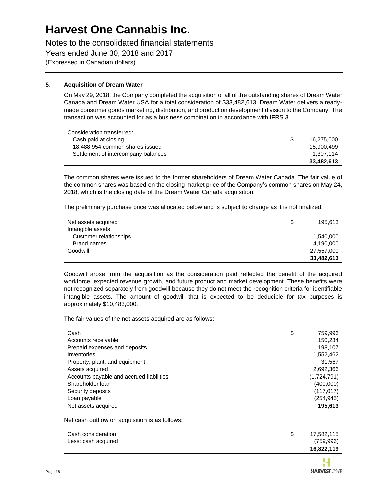Notes to the consolidated financial statements Years ended June 30, 2018 and 2017 (Expressed in Canadian dollars)

#### **5. Acquisition of Dream Water**

On May 29, 2018, the Company completed the acquisition of all of the outstanding shares of Dream Water Canada and Dream Water USA for a total consideration of \$33,482,613. Dream Water delivers a readymade consumer goods marketing, distribution, and production development division to the Company. The transaction was accounted for as a business combination in accordance with IFRS 3.

| Consideration transferred:          |            |
|-------------------------------------|------------|
| Cash paid at closing                | 16.275.000 |
| 18,488,954 common shares issued     | 15.900.499 |
| Settlement of intercompany balances | 1.307.114  |
|                                     | 33,482,613 |

The common shares were issued to the former shareholders of Dream Water Canada. The fair value of the common shares was based on the closing market price of the Company's common shares on May 24, 2018, which is the closing date of the Dream Water Canada acquisition.

The preliminary purchase price was allocated below and is subject to change as it is not finalized.

|                        | 33,482,613    |
|------------------------|---------------|
| Goodwill               | 27,557,000    |
| Brand names            | 4,190,000     |
| Customer relationships | 1,540,000     |
| Intangible assets      |               |
| Net assets acquired    | \$<br>195.613 |

Goodwill arose from the acquisition as the consideration paid reflected the benefit of the acquired workforce, expected revenue growth, and future product and market development. These benefits were not recognized separately from goodwill because they do not meet the recognition criteria for identifiable intangible assets. The amount of goodwill that is expected to be deducible for tax purposes is approximately \$10,483,000.

The fair values of the net assets acquired are as follows:

| Cash                                     | \$<br>759,996 |
|------------------------------------------|---------------|
| Accounts receivable                      | 150,234       |
| Prepaid expenses and deposits            | 198.107       |
| Inventories                              | 1,552,462     |
| Property, plant, and equipment           | 31,567        |
| Assets acquired                          | 2,692,366     |
| Accounts payable and accrued liabilities | (1,724,791)   |
| Shareholder Ioan                         | (400,000)     |
| Security deposits                        | (117, 017)    |
| Loan payable                             | (254,945)     |
| Net assets acquired                      | 195.613       |

Net cash outflow on acquisition is as follows:

| Less: cash acquired | (759.996)  |
|---------------------|------------|
|                     | 16,822,119 |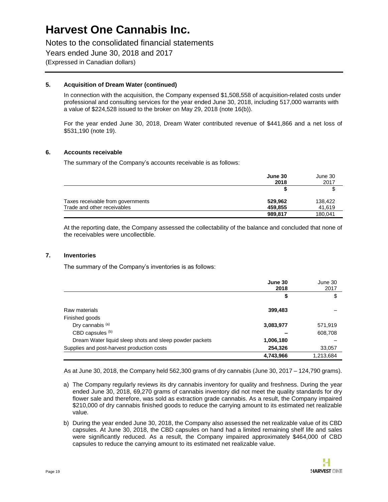Notes to the consolidated financial statements

Years ended June 30, 2018 and 2017

(Expressed in Canadian dollars)

### **5. Acquisition of Dream Water (continued)**

In connection with the acquisition, the Company expensed \$1,508,558 of acquisition-related costs under professional and consulting services for the year ended June 30, 2018, including 517,000 warrants with a value of \$224,528 issued to the broker on May 29, 2018 (note 16(b)).

For the year ended June 30, 2018, Dream Water contributed revenue of \$441,866 and a net loss of \$531,190 (note 19).

### **6. Accounts receivable**

The summary of the Company's accounts receivable is as follows:

|                                   | June 30<br>2018 | June 30<br>2017 |
|-----------------------------------|-----------------|-----------------|
|                                   |                 |                 |
| Taxes receivable from governments | 529,962         | 138,422         |
| Trade and other receivables       | 459,855         | 41.619          |
|                                   | 989,817         | 180.041         |

At the reporting date, the Company assessed the collectability of the balance and concluded that none of the receivables were uncollectible.

### **7. Inventories**

The summary of the Company's inventories is as follows:

|                                                         | June 30<br>2018 | June 30<br>2017 |
|---------------------------------------------------------|-----------------|-----------------|
|                                                         | \$              | \$              |
| Raw materials                                           | 399,483         |                 |
| Finished goods                                          |                 |                 |
| Dry cannabis (a)                                        | 3,083,977       | 571,919         |
| CBD capsules (b)                                        |                 | 608,708         |
| Dream Water liquid sleep shots and sleep powder packets | 1,006,180       |                 |
| Supplies and post-harvest production costs              | 254,326         | 33,057          |
|                                                         | 4,743,966       | 1.213.684       |

As at June 30, 2018, the Company held 562,300 grams of dry cannabis (June 30, 2017 – 124,790 grams).

- a) The Company regularly reviews its dry cannabis inventory for quality and freshness. During the year ended June 30, 2018, 69,270 grams of cannabis inventory did not meet the quality standards for dry flower sale and therefore, was sold as extraction grade cannabis. As a result, the Company impaired \$210,000 of dry cannabis finished goods to reduce the carrying amount to its estimated net realizable value.
- b) During the year ended June 30, 2018, the Company also assessed the net realizable value of its CBD capsules. At June 30, 2018, the CBD capsules on hand had a limited remaining shelf life and sales were significantly reduced. As a result, the Company impaired approximately \$464,000 of CBD capsules to reduce the carrying amount to its estimated net realizable value.

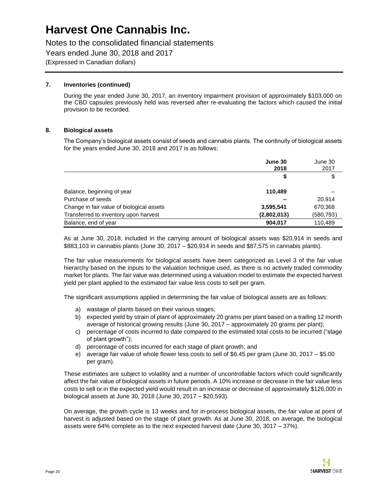Notes to the consolidated financial statements Years ended June 30, 2018 and 2017 (Expressed in Canadian dollars)

#### **7. Inventories (continued)**

During the year ended June 30, 2017, an inventory impairment provision of approximately \$103,000 on the CBD capsules previously held was reversed after re-evaluating the factors which caused the initial provision to be recorded.

### **8. Biological assets**

The Company's biological assets consist of seeds and cannabis plants. The continuity of biological assets for the years ended June 30, 2018 and 2017 is as follows:

|                                           | June 30<br>2018 | June 30<br>2017 |
|-------------------------------------------|-----------------|-----------------|
|                                           | \$              | \$              |
| Balance, beginning of year                | 110,489         |                 |
| Purchase of seeds                         |                 | 20.914          |
| Change in fair value of biological assets | 3,595,541       | 670,368         |
| Transferred to inventory upon harvest     | (2,802,013)     | (580, 793)      |
| Balance, end of year                      | 904,017         | 110.489         |

As at June 30, 2018, included in the carrying amount of biological assets was \$20,914 in seeds and \$883,103 in cannabis plants (June 30, 2017 – \$20,914 in seeds and \$87,575 in cannabis plants).

The fair value measurements for biological assets have been categorized as Level 3 of the fair value hierarchy based on the inputs to the valuation technique used, as there is no actively traded commodity market for plants. The fair value was determined using a valuation model to estimate the expected harvest yield per plant applied to the estimated fair value less costs to sell per gram.

The significant assumptions applied in determining the fair value of biological assets are as follows:

- a) wastage of plants based on their various stages;
- b) expected yield by strain of plant of approximately 20 grams per plant based on a trailing 12 month average of historical growing results (June 30, 2017 – approximately 20 grams per plant);
- c) percentage of costs incurred to date compared to the estimated total costs to be incurred ("stage of plant growth");
- d) percentage of costs incurred for each stage of plant growth; and
- e) average fair value of whole flower less costs to sell of \$6.45 per gram (June 30, 2017 \$5.00 per gram).

These estimates are subject to volatility and a number of uncontrollable factors which could significantly affect the fair value of biological assets in future periods. A 10% increase or decrease in the fair value less costs to sell or in the expected yield would result in an increase or decrease of approximately \$126,000 in biological assets at June 30, 2018 (June 30, 2017 – \$20,593).

On average, the growth cycle is 13 weeks and for in-process biological assets, the fair value at point of harvest is adjusted based on the stage of plant growth. As at June 30, 2018, on average, the biological assets were 64% complete as to the next expected harvest date (June 30, 3017 – 37%).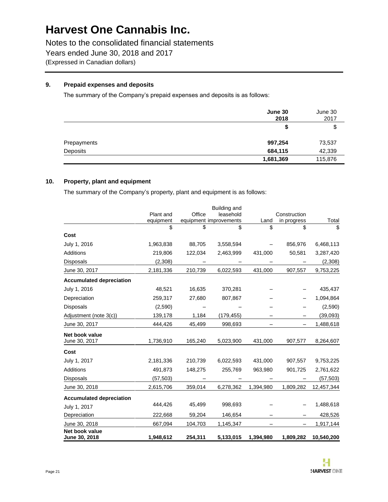Notes to the consolidated financial statements Years ended June 30, 2018 and 2017 (Expressed in Canadian dollars)

### **9. Prepaid expenses and deposits**

The summary of the Company's prepaid expenses and deposits is as follows:

|             | June 30<br>2018 | June 30<br>2017 |
|-------------|-----------------|-----------------|
|             |                 | \$              |
| Prepayments | 997,254         | 73,537          |
| Deposits    | 684,115         | 42,339          |
|             | 1,681,369       | 115,876         |

### **10. Property, plant and equipment**

The summary of the Company's property, plant and equipment is as follows:

|                                 | Plant and | Office  | Building and<br>leasehold |           | Construction |            |
|---------------------------------|-----------|---------|---------------------------|-----------|--------------|------------|
|                                 | equipment |         | equipment improvements    | Land      | in progress  | Total      |
|                                 | \$        | \$      | \$                        | \$        | \$           | \$         |
| Cost                            |           |         |                           |           |              |            |
| July 1, 2016                    | 1,963,838 | 88,705  | 3,558,594                 |           | 856,976      | 6,468,113  |
| Additions                       | 219,806   | 122,034 | 2,463,999                 | 431,000   | 50,581       | 3,287,420  |
| <b>Disposals</b>                | (2,308)   |         |                           |           |              | (2,308)    |
| June 30, 2017                   | 2,181,336 | 210,739 | 6,022,593                 | 431,000   | 907,557      | 9,753,225  |
| <b>Accumulated depreciation</b> |           |         |                           |           |              |            |
| July 1, 2016                    | 48,521    | 16,635  | 370,281                   |           |              | 435,437    |
| Depreciation                    | 259,317   | 27,680  | 807,867                   |           |              | 1,094,864  |
| <b>Disposals</b>                | (2,590)   |         |                           |           |              | (2,590)    |
| Adjustment (note 3(c))          | 139,178   | 1,184   | (179, 455)                |           |              | (39,093)   |
| June 30, 2017                   | 444,426   | 45,499  | 998,693                   |           |              | 1,488,618  |
| Net book value<br>June 30, 2017 | 1,736,910 | 165,240 | 5,023,900                 | 431,000   | 907,577      | 8,264,607  |
| Cost                            |           |         |                           |           |              |            |
| July 1, 2017                    | 2,181,336 | 210,739 | 6,022,593                 | 431,000   | 907,557      | 9,753,225  |
| Additions                       | 491,873   | 148,275 | 255,769                   | 963,980   | 901,725      | 2,761,622  |
| <b>Disposals</b>                | (57, 503) |         |                           |           |              | (57, 503)  |
| June 30, 2018                   | 2,615,706 | 359,014 | 6,278,362                 | 1,394,980 | 1,809,282    | 12,457,344 |
| <b>Accumulated depreciation</b> |           |         |                           |           |              |            |
| July 1, 2017                    | 444,426   | 45,499  | 998,693                   |           |              | 1,488,618  |
| Depreciation                    | 222,668   | 59,204  | 146,654                   |           |              | 428,526    |
| June 30, 2018                   | 667,094   | 104,703 | 1,145,347                 | -         |              | 1,917,144  |
| Net book value<br>June 30, 2018 | 1,948,612 | 254,311 | 5,133,015                 | 1,394,980 | 1,809,282    | 10,540,200 |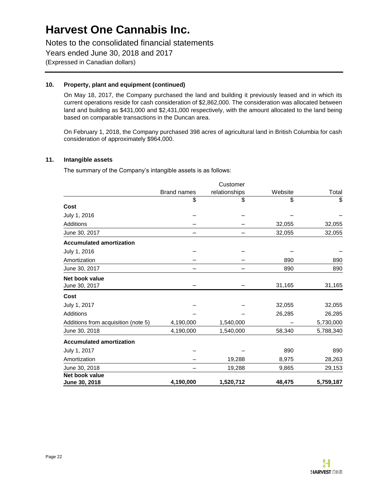Notes to the consolidated financial statements Years ended June 30, 2018 and 2017

(Expressed in Canadian dollars)

### **10. Property, plant and equipment (continued)**

On May 18, 2017, the Company purchased the land and building it previously leased and in which its current operations reside for cash consideration of \$2,862,000. The consideration was allocated between land and building as \$431,000 and \$2,431,000 respectively, with the amount allocated to the land being based on comparable transactions in the Duncan area.

On February 1, 2018, the Company purchased 398 acres of agricultural land in British Columbia for cash consideration of approximately \$964,000.

### **11. Intangible assets**

The summary of the Company's intangible assets is as follows:

|                                     |                    | Customer      |         |           |
|-------------------------------------|--------------------|---------------|---------|-----------|
|                                     | <b>Brand names</b> | relationships | Website | Total     |
|                                     | \$                 | \$            | \$      | \$        |
| Cost                                |                    |               |         |           |
| July 1, 2016                        |                    |               |         |           |
| Additions                           |                    |               | 32,055  | 32,055    |
| June 30, 2017                       |                    |               | 32,055  | 32,055    |
| <b>Accumulated amortization</b>     |                    |               |         |           |
| July 1, 2016                        |                    |               |         |           |
| Amortization                        |                    |               | 890     | 890       |
| June 30, 2017                       |                    |               | 890     | 890       |
| Net book value                      |                    |               |         |           |
| June 30, 2017                       |                    |               | 31,165  | 31,165    |
| Cost                                |                    |               |         |           |
| July 1, 2017                        |                    |               | 32,055  | 32,055    |
| Additions                           |                    |               | 26,285  | 26,285    |
| Additions from acquisition (note 5) | 4,190,000          | 1,540,000     |         | 5,730,000 |
| June 30, 2018                       | 4,190,000          | 1,540,000     | 58,340  | 5,788,340 |
| <b>Accumulated amortization</b>     |                    |               |         |           |
| July 1, 2017                        |                    |               | 890     | 890       |
| Amortization                        |                    | 19,288        | 8,975   | 28,263    |
| June 30, 2018                       |                    | 19,288        | 9,865   | 29,153    |
| Net book value                      |                    |               |         |           |
| June 30, 2018                       | 4,190,000          | 1,520,712     | 48,475  | 5,759,187 |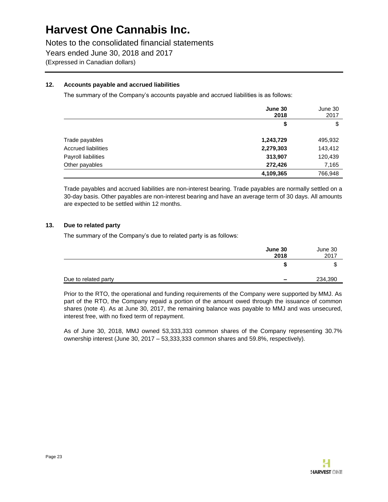Notes to the consolidated financial statements Years ended June 30, 2018 and 2017 (Expressed in Canadian dollars)

### **12. Accounts payable and accrued liabilities**

The summary of the Company's accounts payable and accrued liabilities is as follows:

|                            | June 30<br>2018 | June 30<br>2017 |
|----------------------------|-----------------|-----------------|
|                            | \$              | \$              |
| Trade payables             | 1,243,729       | 495,932         |
| <b>Accrued liabilities</b> | 2,279,303       | 143,412         |
| Payroll liabilities        | 313,907         | 120,439         |
| Other payables             | 272,426         | 7,165           |
|                            | 4,109,365       | 766,948         |

Trade payables and accrued liabilities are non-interest bearing. Trade payables are normally settled on a 30-day basis. Other payables are non-interest bearing and have an average term of 30 days. All amounts are expected to be settled within 12 months.

### **13. Due to related party**

The summary of the Company's due to related party is as follows:

|                      | June 30<br>2018          | June 30<br>2017 |
|----------------------|--------------------------|-----------------|
|                      |                          | ۰D              |
| Due to related party | $\overline{\phantom{a}}$ | 234,390         |

Prior to the RTO, the operational and funding requirements of the Company were supported by MMJ. As part of the RTO, the Company repaid a portion of the amount owed through the issuance of common shares (note 4). As at June 30, 2017, the remaining balance was payable to MMJ and was unsecured, interest free, with no fixed term of repayment.

As of June 30, 2018, MMJ owned 53,333,333 common shares of the Company representing 30.7% ownership interest (June 30, 2017 – 53,333,333 common shares and 59.8%, respectively).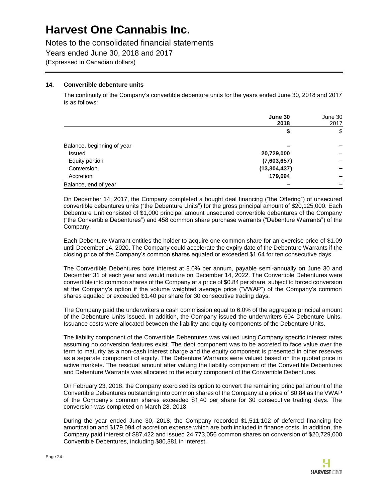Notes to the consolidated financial statements

Years ended June 30, 2018 and 2017

(Expressed in Canadian dollars)

### **14. Convertible debenture units**

The continuity of the Company's convertible debenture units for the years ended June 30, 2018 and 2017 is as follows:

|                            | June 30<br>2018 | June 30<br>2017 |
|----------------------------|-----------------|-----------------|
|                            | \$              | \$              |
| Balance, beginning of year |                 |                 |
| Issued                     | 20,729,000      |                 |
| Equity portion             | (7,603,657)     |                 |
| Conversion                 | (13, 304, 437)  |                 |
| Accretion                  | 179,094         |                 |
| Balance, end of year       |                 |                 |

On December 14, 2017, the Company completed a bought deal financing ("the Offering") of unsecured convertible debentures units ("the Debenture Units") for the gross principal amount of \$20,125,000. Each Debenture Unit consisted of \$1,000 principal amount unsecured convertible debentures of the Company ("the Convertible Debentures") and 458 common share purchase warrants ("Debenture Warrants") of the Company.

Each Debenture Warrant entitles the holder to acquire one common share for an exercise price of \$1.09 until December 14, 2020. The Company could accelerate the expiry date of the Debenture Warrants if the closing price of the Company's common shares equaled or exceeded \$1.64 for ten consecutive days.

The Convertible Debentures bore interest at 8.0% per annum, payable semi-annually on June 30 and December 31 of each year and would mature on December 14, 2022. The Convertible Debentures were convertible into common shares of the Company at a price of \$0.84 per share, subject to forced conversion at the Company's option if the volume weighted average price ("VWAP") of the Company's common shares equaled or exceeded \$1.40 per share for 30 consecutive trading days.

The Company paid the underwriters a cash commission equal to 6.0% of the aggregate principal amount of the Debenture Units issued. In addition, the Company issued the underwriters 604 Debenture Units. Issuance costs were allocated between the liability and equity components of the Debenture Units.

The liability component of the Convertible Debentures was valued using Company specific interest rates assuming no conversion features exist. The debt component was to be accreted to face value over the term to maturity as a non-cash interest charge and the equity component is presented in other reserves as a separate component of equity. The Debenture Warrants were valued based on the quoted price in active markets. The residual amount after valuing the liability component of the Convertible Debentures and Debenture Warrants was allocated to the equity component of the Convertible Debentures.

On February 23, 2018, the Company exercised its option to convert the remaining principal amount of the Convertible Debentures outstanding into common shares of the Company at a price of \$0.84 as the VWAP of the Company's common shares exceeded \$1.40 per share for 30 consecutive trading days. The conversion was completed on March 28, 2018.

During the year ended June 30, 2018, the Company recorded \$1,511,102 of deferred financing fee amortization and \$179,094 of accretion expense which are both included in finance costs. In addition, the Company paid interest of \$87,422 and issued 24,773,056 common shares on conversion of \$20,729,000 Convertible Debentures, including \$80,381 in interest.

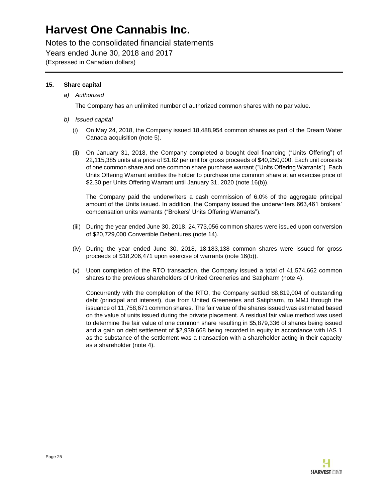Notes to the consolidated financial statements Years ended June 30, 2018 and 2017 (Expressed in Canadian dollars)

### **15. Share capital**

#### *a) Authorized*

The Company has an unlimited number of authorized common shares with no par value.

- *b) Issued capital*
	- (i) On May 24, 2018, the Company issued 18,488,954 common shares as part of the Dream Water Canada acquisition (note 5).
	- (ii) On January 31, 2018, the Company completed a bought deal financing ("Units Offering") of 22,115,385 units at a price of \$1.82 per unit for gross proceeds of \$40,250,000. Each unit consists of one common share and one common share purchase warrant ("Units Offering Warrants"). Each Units Offering Warrant entitles the holder to purchase one common share at an exercise price of \$2.30 per Units Offering Warrant until January 31, 2020 (note 16(b)).

The Company paid the underwriters a cash commission of 6.0% of the aggregate principal amount of the Units issued. In addition, the Company issued the underwriters 663,461 brokers' compensation units warrants ("Brokers' Units Offering Warrants").

- (iii) During the year ended June 30, 2018, 24,773,056 common shares were issued upon conversion of \$20,729,000 Convertible Debentures (note 14).
- (iv) During the year ended June 30, 2018, 18,183,138 common shares were issued for gross proceeds of \$18,206,471 upon exercise of warrants (note 16(b)).
- (v) Upon completion of the RTO transaction, the Company issued a total of 41,574,662 common shares to the previous shareholders of United Greeneries and Satipharm (note 4).

Concurrently with the completion of the RTO, the Company settled \$8,819,004 of outstanding debt (principal and interest), due from United Greeneries and Satipharm, to MMJ through the issuance of 11,758,671 common shares. The fair value of the shares issued was estimated based on the value of units issued during the private placement. A residual fair value method was used to determine the fair value of one common share resulting in \$5,879,336 of shares being issued and a gain on debt settlement of \$2,939,668 being recorded in equity in accordance with IAS 1 as the substance of the settlement was a transaction with a shareholder acting in their capacity as a shareholder (note 4).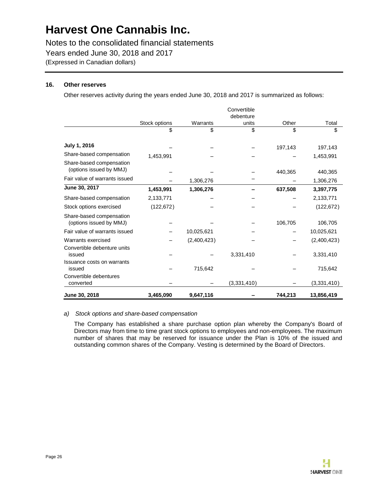Notes to the consolidated financial statements Years ended June 30, 2018 and 2017 (Expressed in Canadian dollars)

### **16. Other reserves**

Other reserves activity during the years ended June 30, 2018 and 2017 is summarized as follows:

|                                                     |               |             | Convertible        |         |             |
|-----------------------------------------------------|---------------|-------------|--------------------|---------|-------------|
|                                                     | Stock options | Warrants    | debenture<br>units | Other   | Total       |
|                                                     | \$            | \$          | \$                 | \$      | \$          |
| July 1, 2016                                        |               |             |                    | 197,143 | 197,143     |
| Share-based compensation                            | 1,453,991     |             |                    |         | 1,453,991   |
| Share-based compensation<br>(options issued by MMJ) |               |             |                    | 440,365 | 440,365     |
| Fair value of warrants issued                       |               | 1,306,276   |                    |         | 1,306,276   |
| June 30, 2017                                       | 1,453,991     | 1,306,276   |                    | 637,508 | 3,397,775   |
| Share-based compensation                            | 2,133,771     |             |                    |         | 2,133,771   |
| Stock options exercised                             | (122, 672)    |             |                    |         | (122, 672)  |
| Share-based compensation<br>(options issued by MMJ) |               |             |                    | 106,705 | 106,705     |
| Fair value of warrants issued                       |               | 10,025,621  |                    |         | 10,025,621  |
| Warrants exercised                                  |               | (2,400,423) |                    |         | (2,400,423) |
| Convertible debenture units<br>issued               |               |             | 3,331,410          |         | 3,331,410   |
| Issuance costs on warrants<br>issued                |               | 715,642     |                    |         | 715,642     |
| Convertible debentures<br>converted                 |               |             | (3,331,410)        |         | (3,331,410) |
| June 30, 2018                                       | 3,465,090     | 9,647,116   |                    | 744,213 | 13,856,419  |

#### *a) Stock options and share-based compensation*

The Company has established a share purchase option plan whereby the Company's Board of Directors may from time to time grant stock options to employees and non-employees. The maximum number of shares that may be reserved for issuance under the Plan is 10% of the issued and outstanding common shares of the Company. Vesting is determined by the Board of Directors.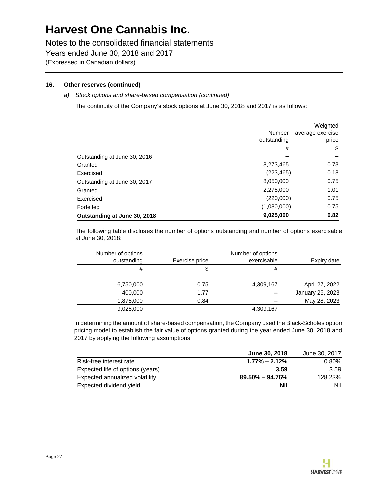Notes to the consolidated financial statements Years ended June 30, 2018 and 2017 (Expressed in Canadian dollars)

### **16. Other reserves (continued)**

#### *a) Stock options and share-based compensation (continued)*

The continuity of the Company's stock options at June 30, 2018 and 2017 is as follows:

|                              |             | Weighted         |
|------------------------------|-------------|------------------|
|                              | Number      | average exercise |
|                              | outstanding | price            |
|                              | #           | \$               |
| Outstanding at June 30, 2016 |             |                  |
| Granted                      | 8,273,465   | 0.73             |
| Exercised                    | (223, 465)  | 0.18             |
| Outstanding at June 30, 2017 | 8,050,000   | 0.75             |
| Granted                      | 2,275,000   | 1.01             |
| Exercised                    | (220,000)   | 0.75             |
| Forfeited                    | (1,080,000) | 0.75             |
| Outstanding at June 30, 2018 | 9,025,000   | 0.82             |

The following table discloses the number of options outstanding and number of options exercisable at June 30, 2018:

| Number of options |                | Number of options |                  |
|-------------------|----------------|-------------------|------------------|
| outstanding       | Exercise price | exercisable       | Expiry date      |
| #                 | \$             | #                 |                  |
| 6,750,000         | 0.75           | 4,309,167         | April 27, 2022   |
| 400,000           | 1.77           |                   | January 25, 2023 |
| 1,875,000         | 0.84           |                   | May 28, 2023     |
| 9,025,000         |                | 4,309,167         |                  |

In determining the amount of share-based compensation, the Company used the Black-Scholes option pricing model to establish the fair value of options granted during the year ended June 30, 2018 and 2017 by applying the following assumptions:

|                                  | June 30, 2018       | June 30, 2017 |
|----------------------------------|---------------------|---------------|
| Risk-free interest rate          | $1.77\% - 2.12\%$   | $0.80\%$      |
| Expected life of options (years) | 3.59                | 3.59          |
| Expected annualized volatility   | $89.50\% - 94.76\%$ | 128.23%       |
| Expected dividend yield          | Nil                 | Nil           |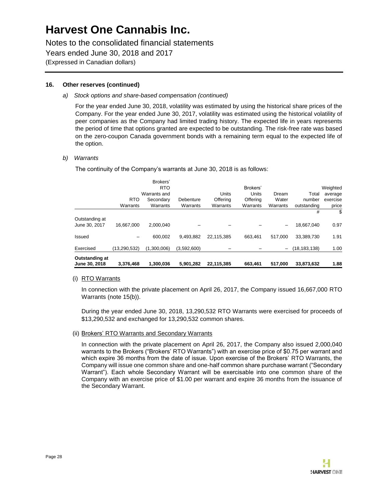Notes to the consolidated financial statements Years ended June 30, 2018 and 2017 (Expressed in Canadian dollars)

#### **16. Other reserves (continued)**

#### *a) Stock options and share-based compensation (continued)*

For the year ended June 30, 2018, volatility was estimated by using the historical share prices of the Company. For the year ended June 30, 2017, volatility was estimated using the historical volatility of peer companies as the Company had limited trading history. The expected life in years represents the period of time that options granted are expected to be outstanding. The risk-free rate was based on the zero-coupon Canada government bonds with a remaining term equal to the expected life of the option.

#### *b) Warrants*

The continuity of the Company's warrants at June 30, 2018 is as follows:

| <b>Outstanding at</b><br>June 30, 2018 | 3.376.468              | 1.300.036                             | 5,901,282             | 22.115.385                    | 663.461                       | 517,000                    | 33,873,632                          | 1.88                               |
|----------------------------------------|------------------------|---------------------------------------|-----------------------|-------------------------------|-------------------------------|----------------------------|-------------------------------------|------------------------------------|
| Exercised                              | (13,290,532)           | (1,300,006)                           | (3,592,600)           |                               |                               | -                          | (18, 183, 138)                      | 1.00                               |
| Issued                                 |                        | 600.002                               | 9.493.882             | 22.115.385                    | 663.461                       | 517.000                    | 33.389.730                          | 1.91                               |
| Outstanding at<br>June 30, 2017        | 16.667.000             | 2.000.040                             |                       |                               |                               |                            | 18.667.040                          | 0.97                               |
|                                        | <b>RTO</b><br>Warrants | Warrants and<br>Secondarv<br>Warrants | Debenture<br>Warrants | Units<br>Offering<br>Warrants | Units<br>Offering<br>Warrants | Dream<br>Water<br>Warrants | Total<br>number<br>outstanding<br># | average<br>exercise<br>price<br>\$ |
|                                        |                        | Brokers'<br><b>RTO</b>                |                       |                               | Brokers'                      |                            |                                     | Weighted                           |

#### (i) RTO Warrants

In connection with the private placement on April 26, 2017, the Company issued 16,667,000 RTO Warrants (note 15(b)).

During the year ended June 30, 2018, 13,290,532 RTO Warrants were exercised for proceeds of \$13,290,532 and exchanged for 13,290,532 common shares.

#### (ii) Brokers' RTO Warrants and Secondary Warrants

In connection with the private placement on April 26, 2017, the Company also issued 2,000,040 warrants to the Brokers ("Brokers' RTO Warrants") with an exercise price of \$0.75 per warrant and which expire 36 months from the date of issue. Upon exercise of the Brokers' RTO Warrants, the Company will issue one common share and one-half common share purchase warrant ("Secondary Warrant"). Each whole Secondary Warrant will be exercisable into one common share of the Company with an exercise price of \$1.00 per warrant and expire 36 months from the issuance of the Secondary Warrant.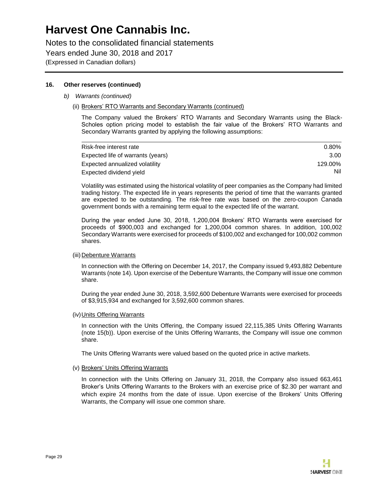Notes to the consolidated financial statements Years ended June 30, 2018 and 2017 (Expressed in Canadian dollars)

### **16. Other reserves (continued)**

#### *b) Warrants (continued)*

(ii) Brokers' RTO Warrants and Secondary Warrants (continued)

The Company valued the Brokers' RTO Warrants and Secondary Warrants using the Black-Scholes option pricing model to establish the fair value of the Brokers' RTO Warrants and Secondary Warrants granted by applying the following assumptions:

| Risk-free interest rate           | $0.80\%$ |
|-----------------------------------|----------|
| Expected life of warrants (years) | 3.00     |
| Expected annualized volatility    | 129.00%  |
| Expected dividend yield           | Nil      |

Volatility was estimated using the historical volatility of peer companies as the Company had limited trading history. The expected life in years represents the period of time that the warrants granted are expected to be outstanding. The risk-free rate was based on the zero-coupon Canada government bonds with a remaining term equal to the expected life of the warrant.

During the year ended June 30, 2018, 1,200,004 Brokers' RTO Warrants were exercised for proceeds of \$900,003 and exchanged for 1,200,004 common shares. In addition, 100,002 Secondary Warrants were exercised for proceeds of \$100,002 and exchanged for 100,002 common shares.

#### (iii)Debenture Warrants

In connection with the Offering on December 14, 2017, the Company issued 9,493,882 Debenture Warrants (note 14). Upon exercise of the Debenture Warrants, the Company will issue one common share.

During the year ended June 30, 2018, 3,592,600 Debenture Warrants were exercised for proceeds of \$3,915,934 and exchanged for 3,592,600 common shares.

(iv)Units Offering Warrants

In connection with the Units Offering, the Company issued 22,115,385 Units Offering Warrants (note 15(b)). Upon exercise of the Units Offering Warrants, the Company will issue one common share.

The Units Offering Warrants were valued based on the quoted price in active markets.

(v) Brokers' Units Offering Warrants

In connection with the Units Offering on January 31, 2018, the Company also issued 663,461 Broker's Units Offering Warrants to the Brokers with an exercise price of \$2.30 per warrant and which expire 24 months from the date of issue. Upon exercise of the Brokers' Units Offering Warrants, the Company will issue one common share.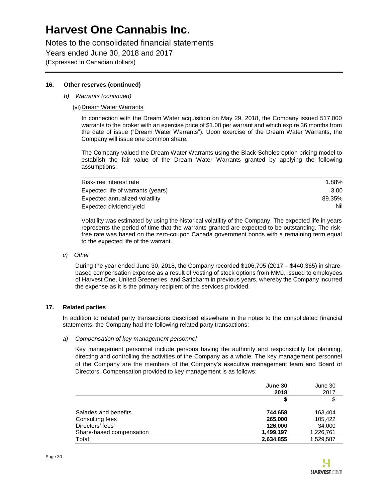Notes to the consolidated financial statements Years ended June 30, 2018 and 2017 (Expressed in Canadian dollars)

### **16. Other reserves (continued)**

- *b) Warrants (continued)*
	- (vi) Dream Water Warrants

In connection with the Dream Water acquisition on May 29, 2018, the Company issued 517,000 warrants to the broker with an exercise price of \$1.00 per warrant and which expire 36 months from the date of issue ("Dream Water Warrants"). Upon exercise of the Dream Water Warrants, the Company will issue one common share.

The Company valued the Dream Water Warrants using the Black-Scholes option pricing model to establish the fair value of the Dream Water Warrants granted by applying the following assumptions:

| Risk-free interest rate           | 1.88%  |
|-----------------------------------|--------|
| Expected life of warrants (years) | 3.00   |
| Expected annualized volatility    | 89.35% |
| Expected dividend yield           | Nil    |

Volatility was estimated by using the historical volatility of the Company. The expected life in years represents the period of time that the warrants granted are expected to be outstanding. The riskfree rate was based on the zero-coupon Canada government bonds with a remaining term equal to the expected life of the warrant.

*c) Other*

During the year ended June 30, 2018, the Company recorded \$106,705 (2017 – \$440,365) in sharebased compensation expense as a result of vesting of stock options from MMJ, issued to employees of Harvest One, United Greeneries, and Satipharm in previous years, whereby the Company incurred the expense as it is the primary recipient of the services provided.

#### **17. Related parties**

In addition to related party transactions described elsewhere in the notes to the consolidated financial statements, the Company had the following related party transactions:

*a) Compensation of key management personnel*

Key management personnel include persons having the authority and responsibility for planning, directing and controlling the activities of the Company as a whole. The key management personnel of the Company are the members of the Company's executive management team and Board of Directors. Compensation provided to key management is as follows:

|                          | June 30<br>2018 | June 30<br>2017 |
|--------------------------|-----------------|-----------------|
|                          | \$              | \$              |
| Salaries and benefits    | 744,658         | 163.404         |
| Consulting fees          | 265,000         | 105,422         |
| Directors' fees          | 126,000         | 34,000          |
| Share-based compensation | 1,499,197       | 1,226,761       |
| Total                    | 2,634,855       | 1,529,587       |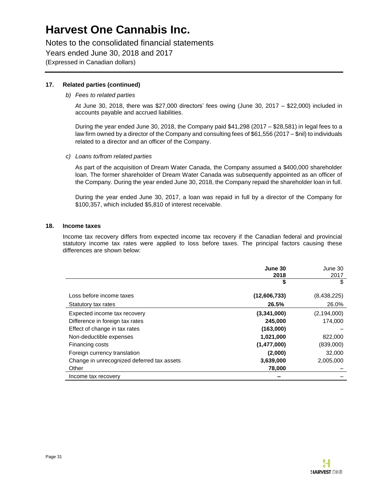Notes to the consolidated financial statements Years ended June 30, 2018 and 2017

(Expressed in Canadian dollars)

### **17. Related parties (continued)**

#### *b) Fees to related parties*

At June 30, 2018, there was \$27,000 directors' fees owing (June 30, 2017 – \$22,000) included in accounts payable and accrued liabilities.

During the year ended June 30, 2018, the Company paid \$41,298 (2017 – \$28,581) in legal fees to a law firm owned by a director of the Company and consulting fees of \$61,556 (2017 – \$nil) to individuals related to a director and an officer of the Company.

*c) Loans to/from related parties*

As part of the acquisition of Dream Water Canada, the Company assumed a \$400,000 shareholder loan. The former shareholder of Dream Water Canada was subsequently appointed as an officer of the Company. During the year ended June 30, 2018, the Company repaid the shareholder loan in full.

During the year ended June 30, 2017, a loan was repaid in full by a director of the Company for \$100,357, which included \$5,810 of interest receivable.

#### **18. Income taxes**

Income tax recovery differs from expected income tax recovery if the Canadian federal and provincial statutory income tax rates were applied to loss before taxes. The principal factors causing these differences are shown below:

|                                            | June 30<br>2018 | June 30<br>2017 |
|--------------------------------------------|-----------------|-----------------|
|                                            | \$              | \$              |
| Loss before income taxes                   | (12,606,733)    | (8,438,225)     |
| Statutory tax rates                        | 26.5%           | 26.0%           |
| Expected income tax recovery               | (3,341,000)     | (2, 194, 000)   |
| Difference in foreign tax rates            | 245,000         | 174,000         |
| Effect of change in tax rates              | (163,000)       |                 |
| Non-deductible expenses                    | 1,021,000       | 822,000         |
| Financing costs                            | (1,477,000)     | (839,000)       |
| Foreign currency translation               | (2,000)         | 32,000          |
| Change in unrecognized deferred tax assets | 3,639,000       | 2,005,000       |
| Other                                      | 78,000          |                 |
| Income tax recovery                        |                 |                 |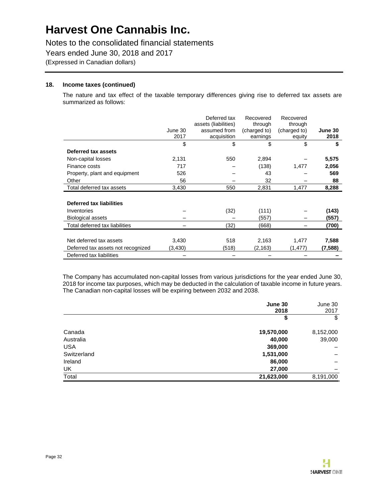Notes to the consolidated financial statements

Years ended June 30, 2018 and 2017

(Expressed in Canadian dollars)

### **18. Income taxes (continued)**

The nature and tax effect of the taxable temporary differences giving rise to deferred tax assets are summarized as follows:

|                                    | June 30<br>2017 | Deferred tax<br>assets (liabilities)<br>assumed from<br>acquisition | Recovered<br>through<br>(charged to)<br>earnings | Recovered<br>through<br>(charged to)<br>equity | June 30<br>2018 |
|------------------------------------|-----------------|---------------------------------------------------------------------|--------------------------------------------------|------------------------------------------------|-----------------|
|                                    | \$              | \$                                                                  | \$                                               | \$                                             | \$              |
| Deferred tax assets                |                 |                                                                     |                                                  |                                                |                 |
| Non-capital losses                 | 2,131           | 550                                                                 | 2,894                                            |                                                | 5,575           |
| Finance costs                      | 717             |                                                                     | (138)                                            | 1,477                                          | 2,056           |
| Property, plant and equipment      | 526             |                                                                     | 43                                               |                                                | 569             |
| Other                              | 56              |                                                                     | 32                                               |                                                | 88              |
| Total deferred tax assets          | 3,430           | 550                                                                 | 2,831                                            | 1,477                                          | 8,288           |
|                                    |                 |                                                                     |                                                  |                                                |                 |
| Deferred tax liabilities           |                 |                                                                     |                                                  |                                                |                 |
| Inventories                        |                 | (32)                                                                | (111)                                            |                                                | (143)           |
| <b>Biological assets</b>           |                 |                                                                     | (557)                                            |                                                | (557)           |
| Total deferred tax liabilities     |                 | (32)                                                                | (668)                                            |                                                | (700)           |
|                                    |                 |                                                                     |                                                  |                                                |                 |
| Net deferred tax assets            | 3,430           | 518                                                                 | 2,163                                            | 1,477                                          | 7,588           |
| Deferred tax assets not recognized | (3, 430)        | (518)                                                               | (2, 163)                                         | (1, 477)                                       | (7,588)         |
| Deferred tax liabilities           |                 |                                                                     |                                                  |                                                |                 |

The Company has accumulated non-capital losses from various jurisdictions for the year ended June 30, 2018 for income tax purposes, which may be deducted in the calculation of taxable income in future years. The Canadian non-capital losses will be expiring between 2032 and 2038.

|             | June 30<br>2018 | June 30<br>2017          |
|-------------|-----------------|--------------------------|
|             | \$              | \$                       |
| Canada      | 19,570,000      | 8,152,000                |
| Australia   | 40,000          | 39,000                   |
| <b>USA</b>  | 369,000         |                          |
| Switzerland | 1,531,000       |                          |
| Ireland     | 86,000          |                          |
| UK          | 27,000          | $\overline{\phantom{0}}$ |
| Total       | 21,623,000      | 8,191,000                |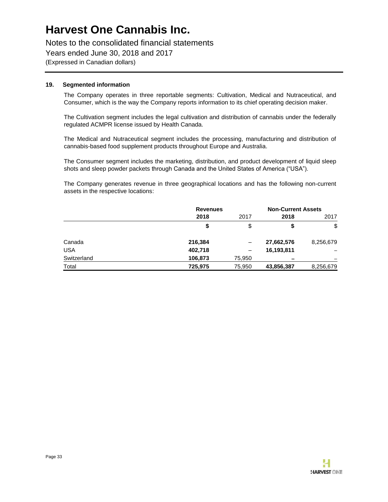Notes to the consolidated financial statements Years ended June 30, 2018 and 2017 (Expressed in Canadian dollars)

#### **19. Segmented information**

The Company operates in three reportable segments: Cultivation, Medical and Nutraceutical, and Consumer, which is the way the Company reports information to its chief operating decision maker.

The Cultivation segment includes the legal cultivation and distribution of cannabis under the federally regulated ACMPR license issued by Health Canada.

The Medical and Nutraceutical segment includes the processing, manufacturing and distribution of cannabis-based food supplement products throughout Europe and Australia.

The Consumer segment includes the marketing, distribution, and product development of liquid sleep shots and sleep powder packets through Canada and the United States of America ("USA").

The Company generates revenue in three geographical locations and has the following non-current assets in the respective locations:

|             | <b>Revenues</b> |        | <b>Non-Current Assets</b> |           |  |
|-------------|-----------------|--------|---------------------------|-----------|--|
|             | 2018            | 2017   | 2018                      | 2017      |  |
|             | \$              | \$     | \$                        | \$        |  |
| Canada      | 216,384         | -      | 27,662,576                | 8,256,679 |  |
| <b>USA</b>  | 402,718         |        | 16,193,811                |           |  |
| Switzerland | 106,873         | 75,950 | -                         |           |  |
| Total       | 725,975         | 75,950 | 43,856,387                | 8,256,679 |  |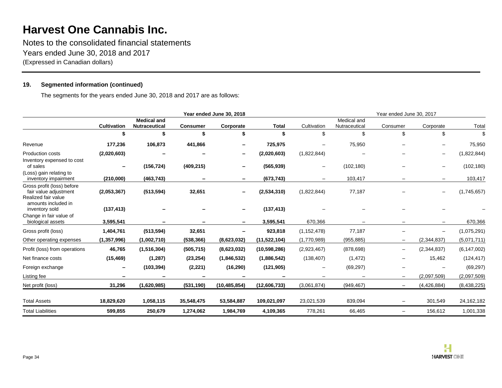Notes to the consolidated financial statements Years ended June 30, 2018 and 2017

(Expressed in Canadian dollars)

### **19. Segmented information (continued)**

The segments for the years ended June 30, 2018 and 2017 are as follows:

|                                                                            | Year ended June 30, 2018 |                      |                 | Year ended June 30, 2017 |                |                          |                          |                          |                          |               |
|----------------------------------------------------------------------------|--------------------------|----------------------|-----------------|--------------------------|----------------|--------------------------|--------------------------|--------------------------|--------------------------|---------------|
|                                                                            |                          | <b>Medical and</b>   |                 |                          |                |                          | Medical and              |                          |                          |               |
|                                                                            | <b>Cultivation</b>       | <b>Nutraceutical</b> | <b>Consumer</b> | Corporate                | Total          | Cultivation              | Nutraceutical            | Consumer                 | Corporate                | Total         |
|                                                                            | \$                       | \$                   | \$              | S                        | \$             | \$                       | \$                       | \$                       | \$                       | \$            |
| Revenue                                                                    | 177,236                  | 106,873              | 441,866         |                          | 725,975        |                          | 75,950                   |                          | $\overline{\phantom{0}}$ | 75,950        |
| Production costs                                                           | (2,020,603)              |                      |                 |                          | (2,020,603)    | (1,822,844)              |                          |                          | $\overline{\phantom{0}}$ | (1,822,844)   |
| Inventory expensed to cost<br>of sales                                     |                          | (156, 724)           | (409, 215)      | $\overline{\phantom{0}}$ | (565, 939)     | $\overline{\phantom{m}}$ | (102, 180)               |                          | $\overline{\phantom{0}}$ | (102, 180)    |
| (Loss) gain relating to<br>inventory impairment                            | (210,000)                | (463, 743)           |                 |                          | (673, 743)     |                          | 103,417                  |                          | $\overline{\phantom{0}}$ | 103,417       |
| Gross profit (loss) before<br>fair value adjustment<br>Realized fair value | (2,053,367)              | (513, 594)           | 32,651          |                          | (2,534,310)    | (1,822,844)              | 77,187                   |                          | $\overline{\phantom{0}}$ | (1,745,657)   |
| amounts included in<br>inventory sold                                      | (137, 413)               |                      |                 | $\overline{\phantom{0}}$ | (137, 413)     |                          |                          |                          |                          |               |
| Change in fair value of<br>biological assets                               | 3,595,541                |                      |                 | $\overline{\phantom{0}}$ | 3,595,541      | 670,366                  | $\overline{\phantom{0}}$ | $\overline{\phantom{m}}$ | $\qquad \qquad -$        | 670,366       |
| Gross profit (loss)                                                        | 1,404,761                | (513, 594)           | 32,651          |                          | 923,818        | (1, 152, 478)            | 77,187                   |                          | $\qquad \qquad -$        | (1,075,291)   |
| Other operating expenses                                                   | (1, 357, 996)            | (1,002,710)          | (538, 366)      | (8,623,032)              | (11,522,104)   | (1,770,989)              | (955, 885)               |                          | (2,344,837)              | (5,071,711)   |
| Profit (loss) from operations                                              | 46,765                   | (1,516,304)          | (505, 715)      | (8,623,032)              | (10, 598, 286) | (2,923,467)              | (878, 698)               | $\qquad \qquad -$        | (2,344,837)              | (6, 147, 002) |
| Net finance costs                                                          | (15, 469)                | (1, 287)             | (23, 254)       | (1,846,532)              | (1,886,542)    | (138, 407)               | (1, 472)                 |                          | 15,462                   | (124, 417)    |
| Foreign exchange                                                           |                          | (103, 394)           | (2,221)         | (16, 290)                | (121, 905)     |                          | (69, 297)                |                          |                          | (69, 297)     |
| Listing fee                                                                |                          |                      |                 |                          |                |                          |                          |                          | (2,097,509)              | (2,097,509)   |
| Net profit (loss)                                                          | 31,296                   | (1,620,985)          | (531, 190)      | (10, 485, 854)           | (12,606,733)   | (3,061,874)              | (949, 467)               | $\overline{\phantom{m}}$ | (4,426,884)              | (8,438,225)   |
| <b>Total Assets</b>                                                        | 18,829,620               | 1,058,115            | 35,548,475      | 53,584,887               | 109,021,097    | 23,021,539               | 839,094                  |                          | 301,549                  | 24, 162, 182  |
| <b>Total Liabilities</b>                                                   | 599,855                  | 250,679              | 1,274,062       | 1,984,769                | 4,109,365      | 778,261                  | 66,465                   |                          | 156,612                  | 1,001,338     |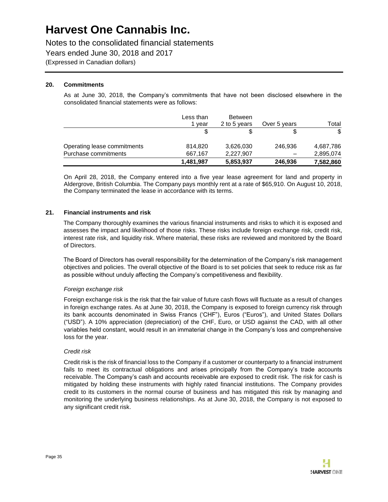Notes to the consolidated financial statements

Years ended June 30, 2018 and 2017

(Expressed in Canadian dollars)

### **20. Commitments**

As at June 30, 2018, the Company's commitments that have not been disclosed elsewhere in the consolidated financial statements were as follows:

|                             | Less than<br>1 vear | <b>Between</b><br>2 to 5 years | Over 5 years | Total     |
|-----------------------------|---------------------|--------------------------------|--------------|-----------|
|                             | \$                  |                                |              | S         |
| Operating lease commitments | 814,820             | 3,626,030                      | 246.936      | 4,687,786 |
| Purchase commitments        | 667,167             | 2,227,907                      |              | 2,895,074 |
|                             | 1,481,987           | 5,853,937                      | 246,936      | 7,582,860 |

On April 28, 2018, the Company entered into a five year lease agreement for land and property in Aldergrove, British Columbia. The Company pays monthly rent at a rate of \$65,910. On August 10, 2018, the Company terminated the lease in accordance with its terms.

### **21. Financial instruments and risk**

The Company thoroughly examines the various financial instruments and risks to which it is exposed and assesses the impact and likelihood of those risks. These risks include foreign exchange risk, credit risk, interest rate risk, and liquidity risk. Where material, these risks are reviewed and monitored by the Board of Directors.

The Board of Directors has overall responsibility for the determination of the Company's risk management objectives and policies. The overall objective of the Board is to set policies that seek to reduce risk as far as possible without unduly affecting the Company's competitiveness and flexibility.

#### *Foreign exchange risk*

Foreign exchange risk is the risk that the fair value of future cash flows will fluctuate as a result of changes in foreign exchange rates. As at June 30, 2018, the Company is exposed to foreign currency risk through its bank accounts denominated in Swiss Francs ('CHF"), Euros ("Euros"), and United States Dollars ("USD"). A 10% appreciation (depreciation) of the CHF, Euro, or USD against the CAD, with all other variables held constant, would result in an immaterial change in the Company's loss and comprehensive loss for the year.

#### *Credit risk*

Credit risk is the risk of financial loss to the Company if a customer or counterparty to a financial instrument fails to meet its contractual obligations and arises principally from the Company's trade accounts receivable. The Company's cash and accounts receivable are exposed to credit risk. The risk for cash is mitigated by holding these instruments with highly rated financial institutions. The Company provides credit to its customers in the normal course of business and has mitigated this risk by managing and monitoring the underlying business relationships. As at June 30, 2018, the Company is not exposed to any significant credit risk.

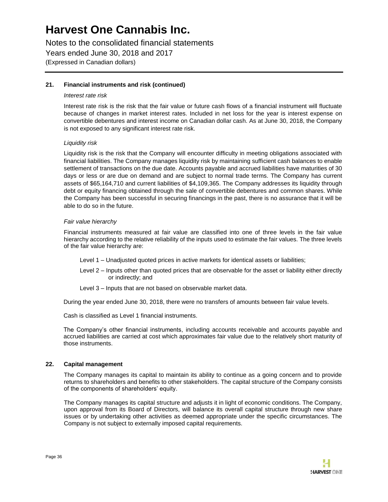Notes to the consolidated financial statements Years ended June 30, 2018 and 2017 (Expressed in Canadian dollars)

### **21. Financial instruments and risk (continued)**

#### *Interest rate risk*

Interest rate risk is the risk that the fair value or future cash flows of a financial instrument will fluctuate because of changes in market interest rates. Included in net loss for the year is interest expense on convertible debentures and interest income on Canadian dollar cash. As at June 30, 2018, the Company is not exposed to any significant interest rate risk.

#### *Liquidity risk*

Liquidity risk is the risk that the Company will encounter difficulty in meeting obligations associated with financial liabilities. The Company manages liquidity risk by maintaining sufficient cash balances to enable settlement of transactions on the due date. Accounts payable and accrued liabilities have maturities of 30 days or less or are due on demand and are subject to normal trade terms. The Company has current assets of \$65,164,710 and current liabilities of \$4,109,365. The Company addresses its liquidity through debt or equity financing obtained through the sale of convertible debentures and common shares. While the Company has been successful in securing financings in the past, there is no assurance that it will be able to do so in the future.

#### *Fair value hierarchy*

Financial instruments measured at fair value are classified into one of three levels in the fair value hierarchy according to the relative reliability of the inputs used to estimate the fair values. The three levels of the fair value hierarchy are:

- Level 1 Unadjusted quoted prices in active markets for identical assets or liabilities;
- Level 2 Inputs other than quoted prices that are observable for the asset or liability either directly or indirectly; and
- Level 3 Inputs that are not based on observable market data.

During the year ended June 30, 2018, there were no transfers of amounts between fair value levels.

Cash is classified as Level 1 financial instruments.

The Company's other financial instruments, including accounts receivable and accounts payable and accrued liabilities are carried at cost which approximates fair value due to the relatively short maturity of those instruments.

#### **22. Capital management**

The Company manages its capital to maintain its ability to continue as a going concern and to provide returns to shareholders and benefits to other stakeholders. The capital structure of the Company consists of the components of shareholders' equity.

The Company manages its capital structure and adjusts it in light of economic conditions. The Company, upon approval from its Board of Directors, will balance its overall capital structure through new share issues or by undertaking other activities as deemed appropriate under the specific circumstances. The Company is not subject to externally imposed capital requirements.